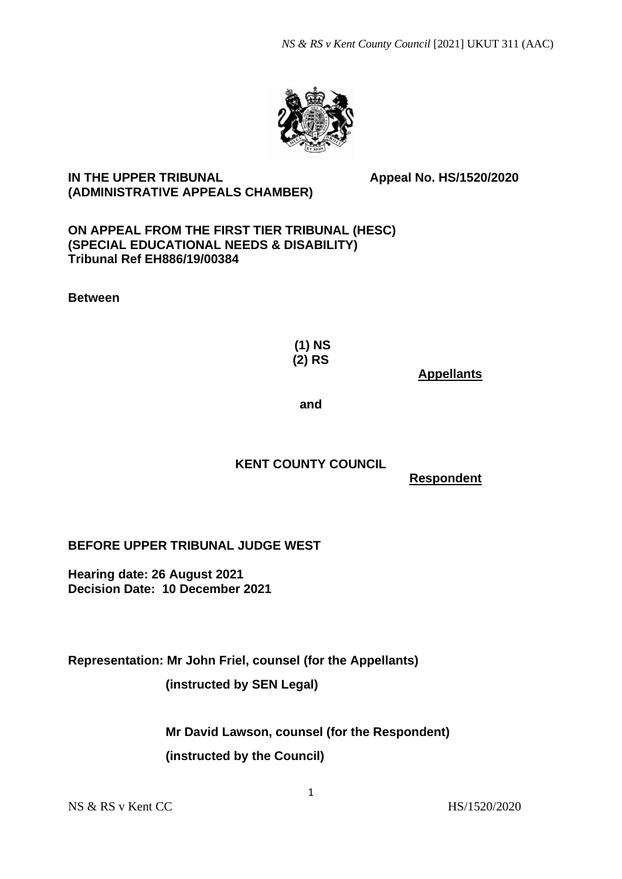

# **IN THE UPPER TRIBUNAL Appeal No. HS/1520/2020 (ADMINISTRATIVE APPEALS CHAMBER)**

### **ON APPEAL FROM THE FIRST TIER TRIBUNAL (HESC) (SPECIAL EDUCATIONAL NEEDS & DISABILITY) Tribunal Ref EH886/19/00384**

**Between**

**(1) NS (2) RS**

 **Appellants**

**and**

# **KENT COUNTY COUNCIL**

 **Respondent**

**BEFORE UPPER TRIBUNAL JUDGE WEST**

**Hearing date: 26 August 2021 Decision Date: 10 December 2021**

**Representation: Mr John Friel, counsel (for the Appellants)** 

 **(instructed by SEN Legal)**

 **Mr David Lawson, counsel (for the Respondent) (instructed by the Council)**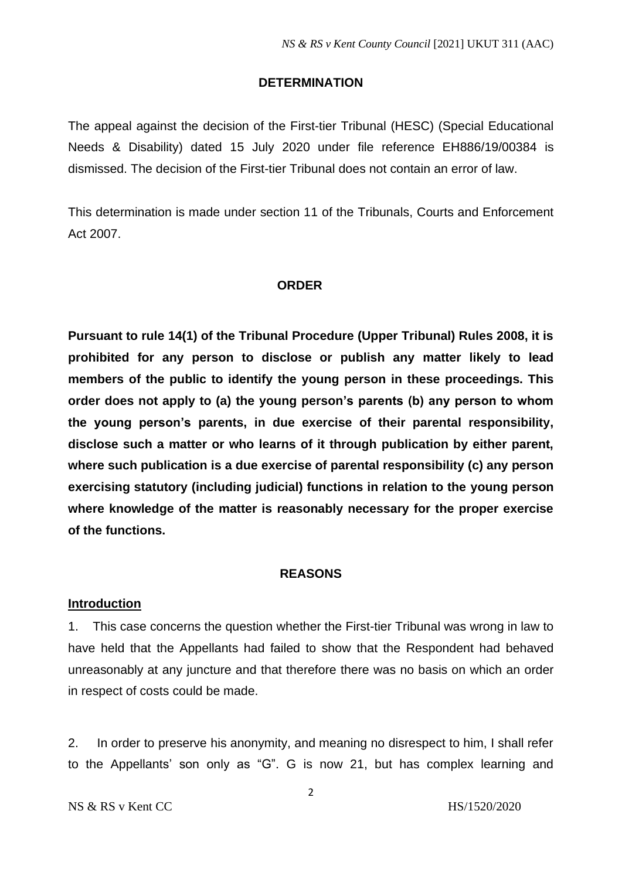#### **DETERMINATION**

The appeal against the decision of the First-tier Tribunal (HESC) (Special Educational Needs & Disability) dated 15 July 2020 under file reference EH886/19/00384 is dismissed. The decision of the First-tier Tribunal does not contain an error of law.

This determination is made under section 11 of the Tribunals, Courts and Enforcement Act 2007.

#### **ORDER**

**Pursuant to rule 14(1) of the Tribunal Procedure (Upper Tribunal) Rules 2008, it is prohibited for any person to disclose or publish any matter likely to lead members of the public to identify the young person in these proceedings. This order does not apply to (a) the young person's parents (b) any person to whom the young person's parents, in due exercise of their parental responsibility, disclose such a matter or who learns of it through publication by either parent, where such publication is a due exercise of parental responsibility (c) any person exercising statutory (including judicial) functions in relation to the young person where knowledge of the matter is reasonably necessary for the proper exercise of the functions.** 

#### **REASONS**

#### **Introduction**

1. This case concerns the question whether the First-tier Tribunal was wrong in law to have held that the Appellants had failed to show that the Respondent had behaved unreasonably at any juncture and that therefore there was no basis on which an order in respect of costs could be made.

2. In order to preserve his anonymity, and meaning no disrespect to him, I shall refer to the Appellants' son only as "G". G is now 21, but has complex learning and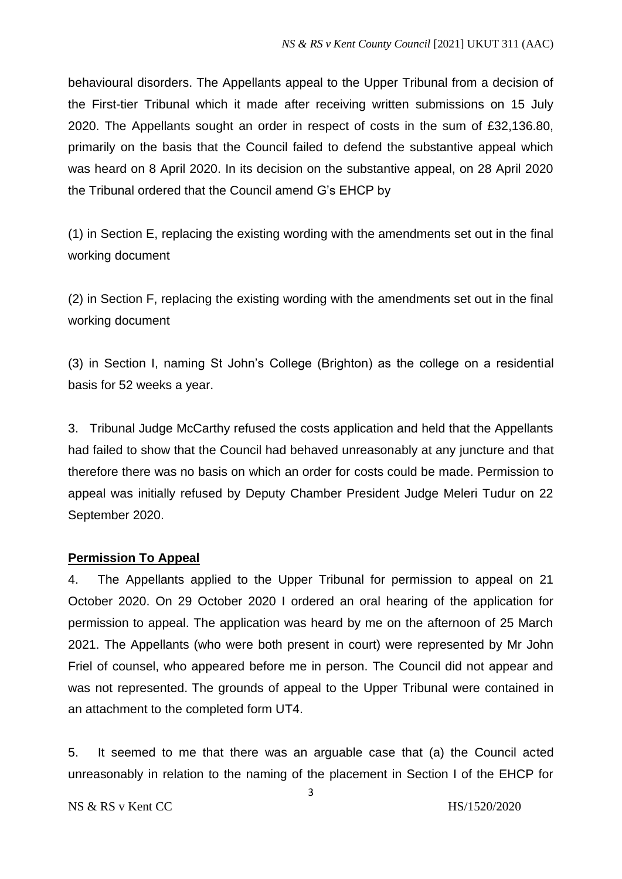behavioural disorders. The Appellants appeal to the Upper Tribunal from a decision of the First-tier Tribunal which it made after receiving written submissions on 15 July 2020. The Appellants sought an order in respect of costs in the sum of £32,136.80, primarily on the basis that the Council failed to defend the substantive appeal which was heard on 8 April 2020. In its decision on the substantive appeal, on 28 April 2020 the Tribunal ordered that the Council amend G's EHCP by

(1) in Section E, replacing the existing wording with the amendments set out in the final working document

(2) in Section F, replacing the existing wording with the amendments set out in the final working document

(3) in Section I, naming St John's College (Brighton) as the college on a residential basis for 52 weeks a year.

3. Tribunal Judge McCarthy refused the costs application and held that the Appellants had failed to show that the Council had behaved unreasonably at any juncture and that therefore there was no basis on which an order for costs could be made. Permission to appeal was initially refused by Deputy Chamber President Judge Meleri Tudur on 22 September 2020.

# **Permission To Appeal**

4. The Appellants applied to the Upper Tribunal for permission to appeal on 21 October 2020. On 29 October 2020 I ordered an oral hearing of the application for permission to appeal. The application was heard by me on the afternoon of 25 March 2021. The Appellants (who were both present in court) were represented by Mr John Friel of counsel, who appeared before me in person. The Council did not appear and was not represented. The grounds of appeal to the Upper Tribunal were contained in an attachment to the completed form UT4.

5. It seemed to me that there was an arguable case that (a) the Council acted unreasonably in relation to the naming of the placement in Section I of the EHCP for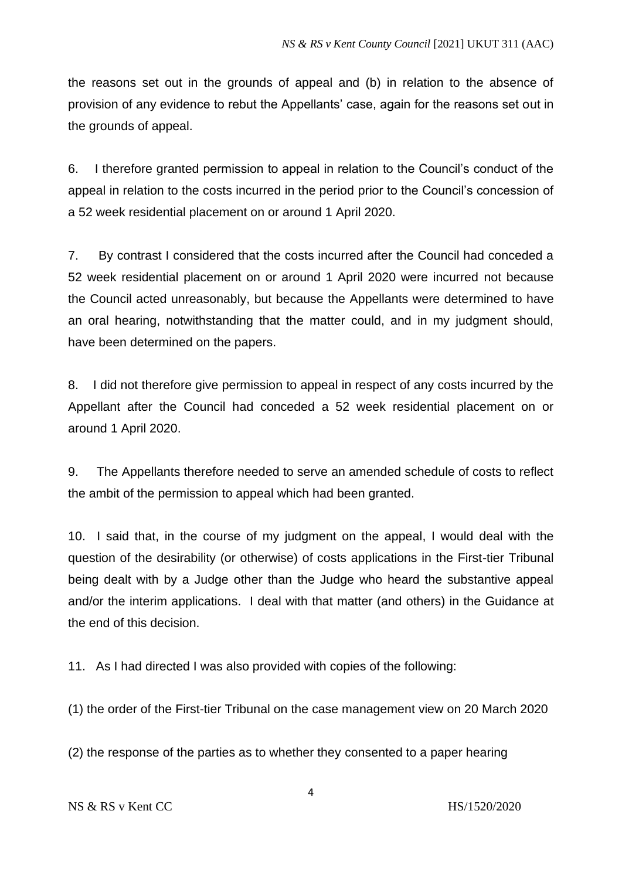the reasons set out in the grounds of appeal and (b) in relation to the absence of provision of any evidence to rebut the Appellants' case, again for the reasons set out in the grounds of appeal.

6. I therefore granted permission to appeal in relation to the Council's conduct of the appeal in relation to the costs incurred in the period prior to the Council's concession of a 52 week residential placement on or around 1 April 2020.

7. By contrast I considered that the costs incurred after the Council had conceded a 52 week residential placement on or around 1 April 2020 were incurred not because the Council acted unreasonably, but because the Appellants were determined to have an oral hearing, notwithstanding that the matter could, and in my judgment should, have been determined on the papers.

8. I did not therefore give permission to appeal in respect of any costs incurred by the Appellant after the Council had conceded a 52 week residential placement on or around 1 April 2020.

9. The Appellants therefore needed to serve an amended schedule of costs to reflect the ambit of the permission to appeal which had been granted.

10. I said that, in the course of my judgment on the appeal, I would deal with the question of the desirability (or otherwise) of costs applications in the First-tier Tribunal being dealt with by a Judge other than the Judge who heard the substantive appeal and/or the interim applications. I deal with that matter (and others) in the Guidance at the end of this decision.

11. As I had directed I was also provided with copies of the following:

(1) the order of the First-tier Tribunal on the case management view on 20 March 2020

(2) the response of the parties as to whether they consented to a paper hearing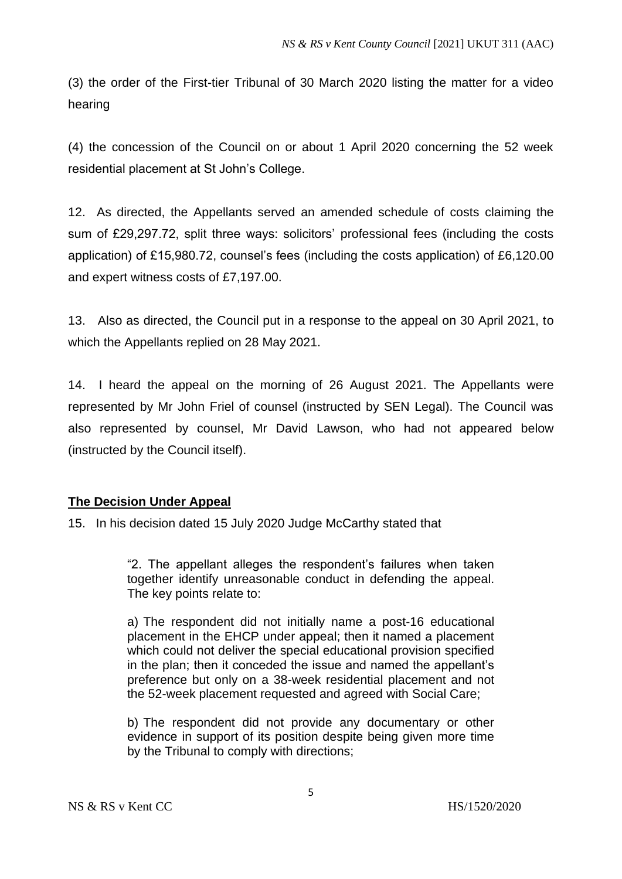(3) the order of the First-tier Tribunal of 30 March 2020 listing the matter for a video hearing

(4) the concession of the Council on or about 1 April 2020 concerning the 52 week residential placement at St John's College.

12. As directed, the Appellants served an amended schedule of costs claiming the sum of £29,297.72, split three ways: solicitors' professional fees (including the costs application) of £15,980.72, counsel's fees (including the costs application) of £6,120.00 and expert witness costs of £7,197.00.

13. Also as directed, the Council put in a response to the appeal on 30 April 2021, to which the Appellants replied on 28 May 2021.

14. I heard the appeal on the morning of 26 August 2021. The Appellants were represented by Mr John Friel of counsel (instructed by SEN Legal). The Council was also represented by counsel, Mr David Lawson, who had not appeared below (instructed by the Council itself).

# **The Decision Under Appeal**

15. In his decision dated 15 July 2020 Judge McCarthy stated that

"2. The appellant alleges the respondent's failures when taken together identify unreasonable conduct in defending the appeal. The key points relate to:

a) The respondent did not initially name a post-16 educational placement in the EHCP under appeal; then it named a placement which could not deliver the special educational provision specified in the plan; then it conceded the issue and named the appellant's preference but only on a 38-week residential placement and not the 52-week placement requested and agreed with Social Care;

b) The respondent did not provide any documentary or other evidence in support of its position despite being given more time by the Tribunal to comply with directions;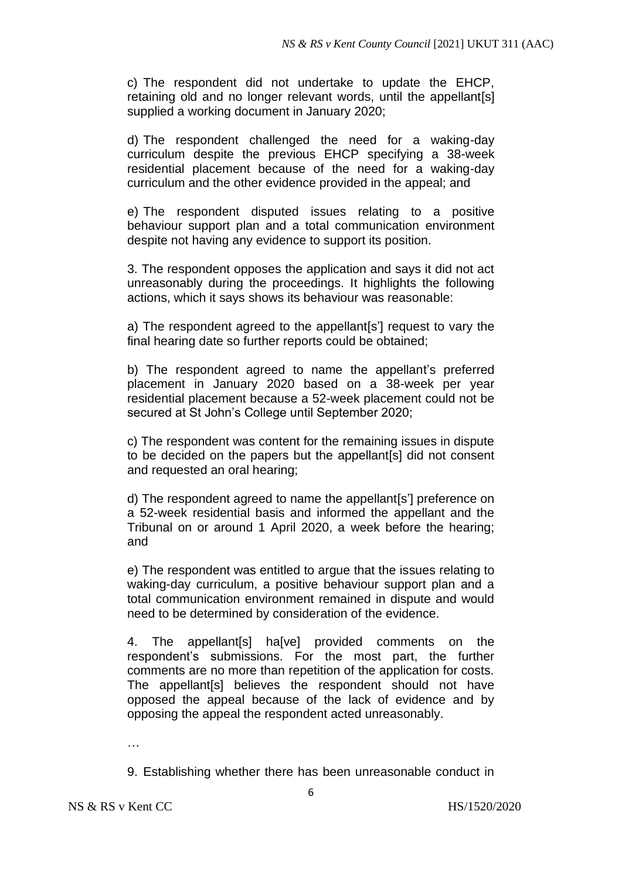c) The respondent did not undertake to update the EHCP, retaining old and no longer relevant words, until the appellant[s] supplied a working document in January 2020;

d) The respondent challenged the need for a waking-day curriculum despite the previous EHCP specifying a 38-week residential placement because of the need for a waking-day curriculum and the other evidence provided in the appeal; and

e) The respondent disputed issues relating to a positive behaviour support plan and a total communication environment despite not having any evidence to support its position.

3. The respondent opposes the application and says it did not act unreasonably during the proceedings. It highlights the following actions, which it says shows its behaviour was reasonable:

a) The respondent agreed to the appellant[s'] request to vary the final hearing date so further reports could be obtained;

b) The respondent agreed to name the appellant's preferred placement in January 2020 based on a 38-week per year residential placement because a 52-week placement could not be secured at St John's College until September 2020;

c) The respondent was content for the remaining issues in dispute to be decided on the papers but the appellant[s] did not consent and requested an oral hearing;

d) The respondent agreed to name the appellant[s'] preference on a 52-week residential basis and informed the appellant and the Tribunal on or around 1 April 2020, a week before the hearing; and

e) The respondent was entitled to argue that the issues relating to waking-day curriculum, a positive behaviour support plan and a total communication environment remained in dispute and would need to be determined by consideration of the evidence.

4. The appellant[s] ha[ve] provided comments on the respondent's submissions. For the most part, the further comments are no more than repetition of the application for costs. The appellant[s] believes the respondent should not have opposed the appeal because of the lack of evidence and by opposing the appeal the respondent acted unreasonably.

…

9. Establishing whether there has been unreasonable conduct in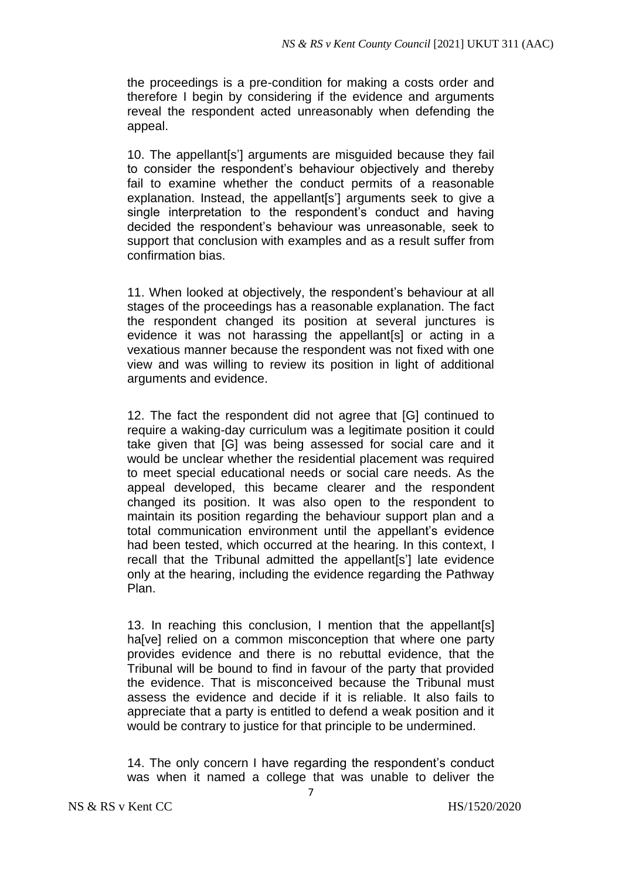the proceedings is a pre-condition for making a costs order and therefore I begin by considering if the evidence and arguments reveal the respondent acted unreasonably when defending the appeal.

10. The appellant[s'] arguments are misguided because they fail to consider the respondent's behaviour objectively and thereby fail to examine whether the conduct permits of a reasonable explanation. Instead, the appellant[s'] arguments seek to give a single interpretation to the respondent's conduct and having decided the respondent's behaviour was unreasonable, seek to support that conclusion with examples and as a result suffer from confirmation bias.

11. When looked at objectively, the respondent's behaviour at all stages of the proceedings has a reasonable explanation. The fact the respondent changed its position at several junctures is evidence it was not harassing the appellant[s] or acting in a vexatious manner because the respondent was not fixed with one view and was willing to review its position in light of additional arguments and evidence.

12. The fact the respondent did not agree that [G] continued to require a waking-day curriculum was a legitimate position it could take given that [G] was being assessed for social care and it would be unclear whether the residential placement was required to meet special educational needs or social care needs. As the appeal developed, this became clearer and the respondent changed its position. It was also open to the respondent to maintain its position regarding the behaviour support plan and a total communication environment until the appellant's evidence had been tested, which occurred at the hearing. In this context, I recall that the Tribunal admitted the appellant[s'] late evidence only at the hearing, including the evidence regarding the Pathway Plan.

13. In reaching this conclusion, I mention that the appellant[s] ha[ve] relied on a common misconception that where one party provides evidence and there is no rebuttal evidence, that the Tribunal will be bound to find in favour of the party that provided the evidence. That is misconceived because the Tribunal must assess the evidence and decide if it is reliable. It also fails to appreciate that a party is entitled to defend a weak position and it would be contrary to justice for that principle to be undermined.

14. The only concern I have regarding the respondent's conduct was when it named a college that was unable to deliver the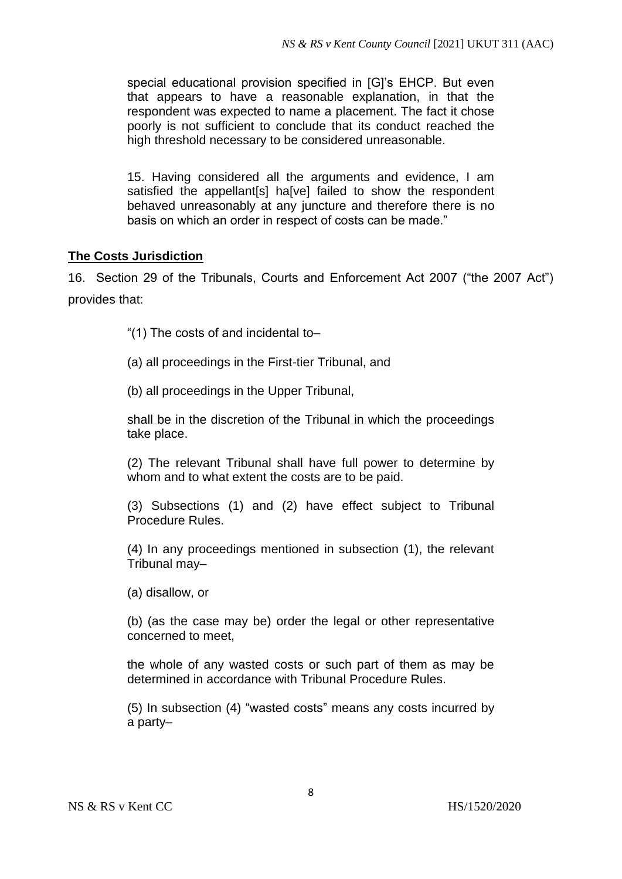special educational provision specified in [G]'s EHCP. But even that appears to have a reasonable explanation, in that the respondent was expected to name a placement. The fact it chose poorly is not sufficient to conclude that its conduct reached the high threshold necessary to be considered unreasonable.

15. Having considered all the arguments and evidence, I am satisfied the appellant[s] ha[ve] failed to show the respondent behaved unreasonably at any juncture and therefore there is no basis on which an order in respect of costs can be made."

# **The Costs Jurisdiction**

16. Section 29 of the Tribunals, Courts and Enforcement Act 2007 ("the 2007 Act") provides that:

"(1) The costs of and incidental to–

(a) all proceedings in the First-tier Tribunal, and

(b) all proceedings in the Upper Tribunal,

shall be in the discretion of the Tribunal in which the proceedings take place.

(2) The relevant Tribunal shall have full power to determine by whom and to what extent the costs are to be paid.

(3) Subsections (1) and (2) have effect subject to Tribunal Procedure Rules.

(4) In any proceedings mentioned in subsection (1), the relevant Tribunal may–

(a) disallow, or

(b) (as the case may be) order the legal or other representative concerned to meet,

the whole of any wasted costs or such part of them as may be determined in accordance with Tribunal Procedure Rules.

(5) In subsection (4) "wasted costs" means any costs incurred by a party–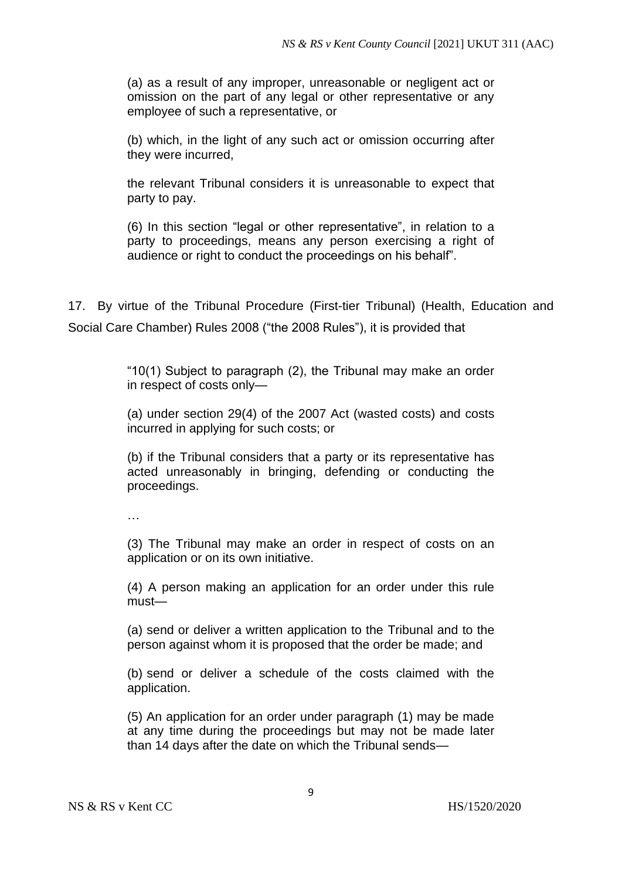(a) as a result of any improper, unreasonable or negligent act or omission on the part of any legal or other representative or any employee of such a representative, or

(b) which, in the light of any such act or omission occurring after they were incurred,

the relevant Tribunal considers it is unreasonable to expect that party to pay.

(6) In this section "legal or other representative", in relation to a party to proceedings, means any person exercising a right of audience or right to conduct the proceedings on his behalf".

17. By virtue of the Tribunal Procedure (First-tier Tribunal) (Health, Education and Social Care Chamber) Rules 2008 ("the 2008 Rules"), it is provided that

> "10(1) Subject to paragraph (2), the Tribunal may make an order in respect of costs only—

> (a) under section 29(4) of the 2007 Act (wasted costs) and costs incurred in applying for such costs; or

> (b) if the Tribunal considers that a party or its representative has acted unreasonably in bringing, defending or conducting the proceedings.

…

(3) The Tribunal may make an order in respect of costs on an application or on its own initiative.

(4) A person making an application for an order under this rule must—

(a) send or deliver a written application to the Tribunal and to the person against whom it is proposed that the order be made; and

(b) send or deliver a schedule of the costs claimed with the application.

(5) An application for an order under paragraph (1) may be made at any time during the proceedings but may not be made later than 14 days after the date on which the Tribunal sends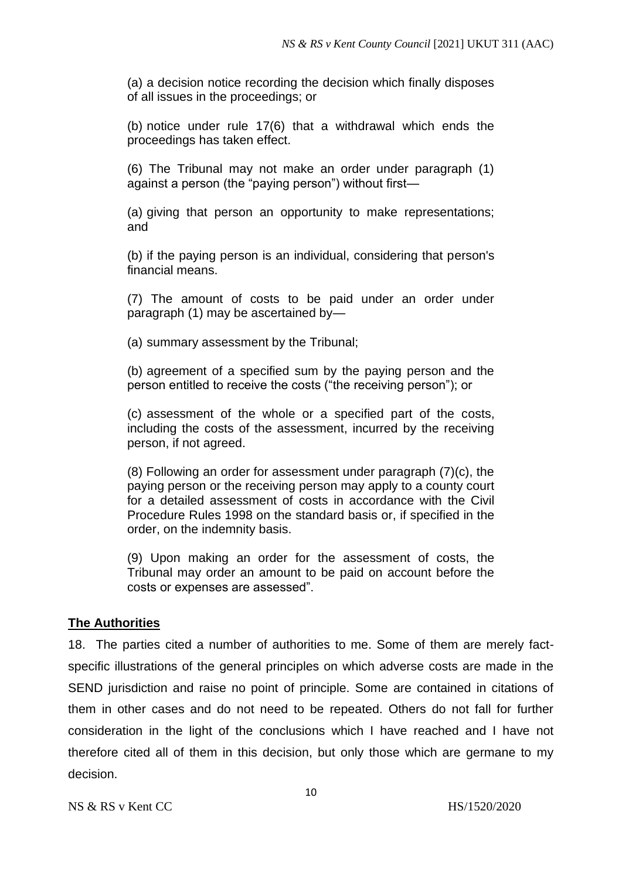(a) a decision notice recording the decision which finally disposes of all issues in the proceedings; or

(b) notice under rule 17(6) that a withdrawal which ends the proceedings has taken effect.

(6) The Tribunal may not make an order under paragraph (1) against a person (the "paying person") without first—

(a) giving that person an opportunity to make representations; and

(b) if the paying person is an individual, considering that person's financial means.

(7) The amount of costs to be paid under an order under paragraph (1) may be ascertained by—

(a) summary assessment by the Tribunal;

(b) agreement of a specified sum by the paying person and the person entitled to receive the costs ("the receiving person"); or

(c) assessment of the whole or a specified part of the costs, including the costs of the assessment, incurred by the receiving person, if not agreed.

(8) Following an order for assessment under paragraph (7)(c), the paying person or the receiving person may apply to a county court for a detailed assessment of costs in accordance with the Civil Procedure Rules 1998 on the standard basis or, if specified in the order, on the indemnity basis.

(9) Upon making an order for the assessment of costs, the Tribunal may order an amount to be paid on account before the costs or expenses are assessed".

# **The Authorities**

18. The parties cited a number of authorities to me. Some of them are merely factspecific illustrations of the general principles on which adverse costs are made in the SEND jurisdiction and raise no point of principle. Some are contained in citations of them in other cases and do not need to be repeated. Others do not fall for further consideration in the light of the conclusions which I have reached and I have not therefore cited all of them in this decision, but only those which are germane to my decision.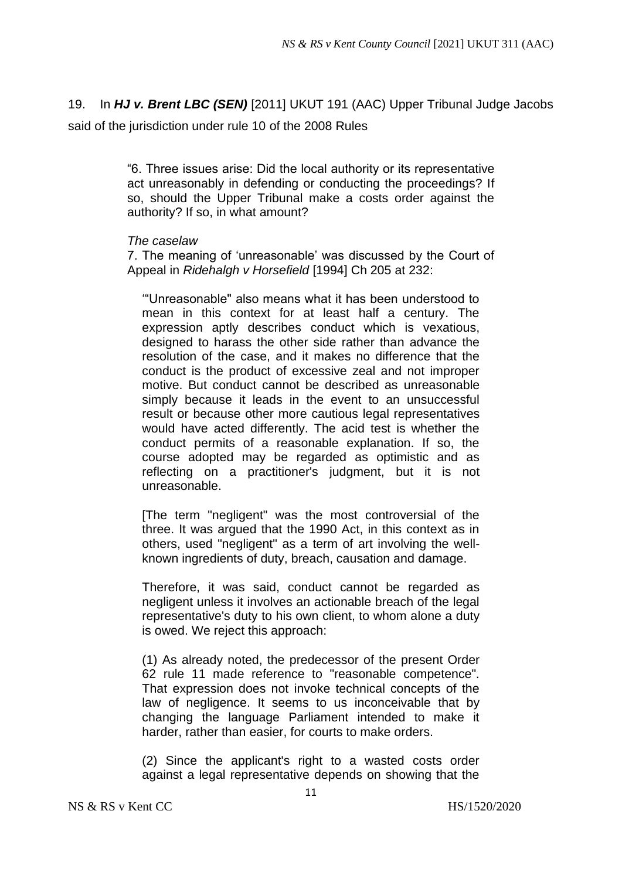19. In *HJ v. Brent LBC (SEN)* [2011] UKUT 191 (AAC) Upper Tribunal Judge Jacobs said of the jurisdiction under rule 10 of the 2008 Rules

> "6. Three issues arise: Did the local authority or its representative act unreasonably in defending or conducting the proceedings? If so, should the Upper Tribunal make a costs order against the authority? If so, in what amount?

### *The caselaw*

7. The meaning of 'unreasonable' was discussed by the Court of Appeal in *Ridehalgh v Horsefield* [1994] Ch 205 at 232:

'"Unreasonable" also means what it has been understood to mean in this context for at least half a century. The expression aptly describes conduct which is vexatious, designed to harass the other side rather than advance the resolution of the case, and it makes no difference that the conduct is the product of excessive zeal and not improper motive. But conduct cannot be described as unreasonable simply because it leads in the event to an unsuccessful result or because other more cautious legal representatives would have acted differently. The acid test is whether the conduct permits of a reasonable explanation. If so, the course adopted may be regarded as optimistic and as reflecting on a practitioner's judgment, but it is not unreasonable.

[The term "negligent" was the most controversial of the three. It was argued that the 1990 Act, in this context as in others, used "negligent" as a term of art involving the wellknown ingredients of duty, breach, causation and damage.

Therefore, it was said, conduct cannot be regarded as negligent unless it involves an actionable breach of the legal representative's duty to his own client, to whom alone a duty is owed. We reject this approach:

(1) As already noted, the predecessor of the present Order 62 rule 11 made reference to "reasonable competence". That expression does not invoke technical concepts of the law of negligence. It seems to us inconceivable that by changing the language Parliament intended to make it harder, rather than easier, for courts to make orders.

(2) Since the applicant's right to a wasted costs order against a legal representative depends on showing that the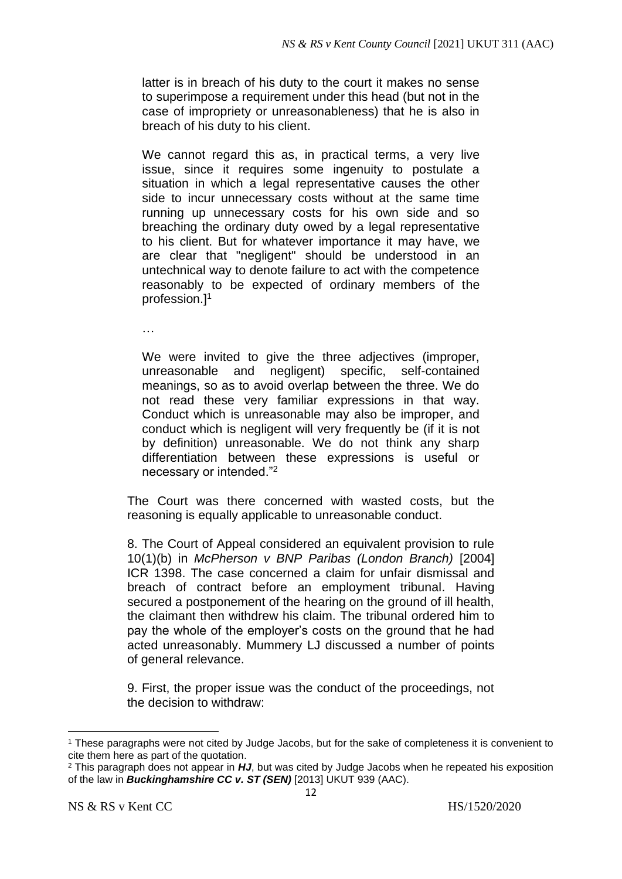latter is in breach of his duty to the court it makes no sense to superimpose a requirement under this head (but not in the case of impropriety or unreasonableness) that he is also in breach of his duty to his client.

We cannot regard this as, in practical terms, a very live issue, since it requires some ingenuity to postulate a situation in which a legal representative causes the other side to incur unnecessary costs without at the same time running up unnecessary costs for his own side and so breaching the ordinary duty owed by a legal representative to his client. But for whatever importance it may have, we are clear that "negligent" should be understood in an untechnical way to denote failure to act with the competence reasonably to be expected of ordinary members of the profession.]<sup>1</sup>

…

We were invited to give the three adjectives (improper, unreasonable and negligent) specific, self-contained meanings, so as to avoid overlap between the three. We do not read these very familiar expressions in that way. Conduct which is unreasonable may also be improper, and conduct which is negligent will very frequently be (if it is not by definition) unreasonable. We do not think any sharp differentiation between these expressions is useful or necessary or intended."<sup>2</sup>

The Court was there concerned with wasted costs, but the reasoning is equally applicable to unreasonable conduct.

8. The Court of Appeal considered an equivalent provision to rule 10(1)(b) in *McPherson v BNP Paribas (London Branch)* [2004] ICR 1398. The case concerned a claim for unfair dismissal and breach of contract before an employment tribunal. Having secured a postponement of the hearing on the ground of ill health, the claimant then withdrew his claim. The tribunal ordered him to pay the whole of the employer's costs on the ground that he had acted unreasonably. Mummery LJ discussed a number of points of general relevance.

9. First, the proper issue was the conduct of the proceedings, not the decision to withdraw:

<sup>1</sup> These paragraphs were not cited by Judge Jacobs, but for the sake of completeness it is convenient to cite them here as part of the quotation.

<sup>2</sup> This paragraph does not appear in *HJ*, but was cited by Judge Jacobs when he repeated his exposition of the law in *Buckinghamshire CC v. ST (SEN)* [2013] UKUT 939 (AAC).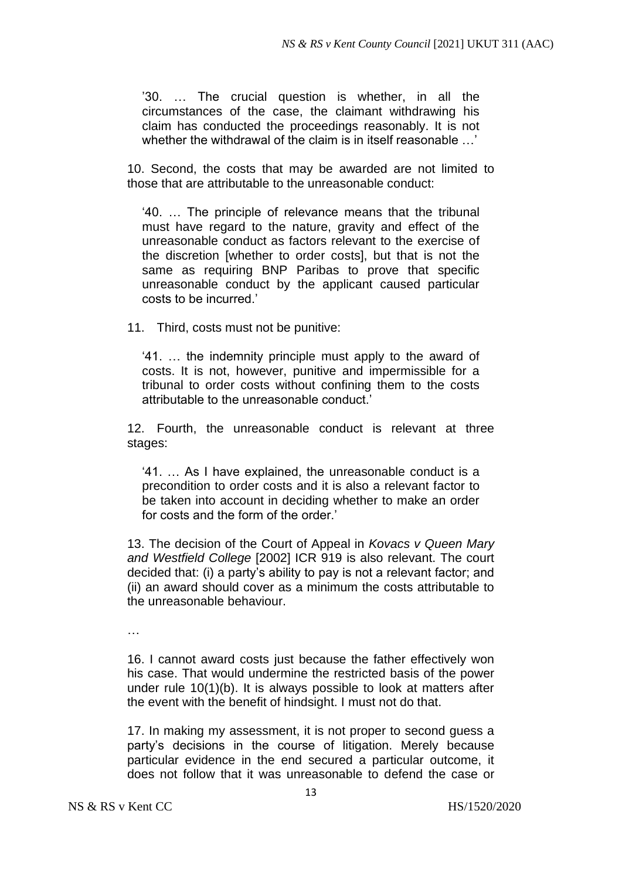'30. … The crucial question is whether, in all the circumstances of the case, the claimant withdrawing his claim has conducted the proceedings reasonably. It is not whether the withdrawal of the claim is in itself reasonable …'

10. Second, the costs that may be awarded are not limited to those that are attributable to the unreasonable conduct:

'40. … The principle of relevance means that the tribunal must have regard to the nature, gravity and effect of the unreasonable conduct as factors relevant to the exercise of the discretion [whether to order costs], but that is not the same as requiring BNP Paribas to prove that specific unreasonable conduct by the applicant caused particular costs to be incurred.'

11. Third, costs must not be punitive:

'41. … the indemnity principle must apply to the award of costs. It is not, however, punitive and impermissible for a tribunal to order costs without confining them to the costs attributable to the unreasonable conduct.'

12. Fourth, the unreasonable conduct is relevant at three stages:

'41. … As I have explained, the unreasonable conduct is a precondition to order costs and it is also a relevant factor to be taken into account in deciding whether to make an order for costs and the form of the order.'

13. The decision of the Court of Appeal in *Kovacs v Queen Mary and Westfield College* [2002] ICR 919 is also relevant. The court decided that: (i) a party's ability to pay is not a relevant factor; and (ii) an award should cover as a minimum the costs attributable to the unreasonable behaviour.

…

16. I cannot award costs just because the father effectively won his case. That would undermine the restricted basis of the power under rule 10(1)(b). It is always possible to look at matters after the event with the benefit of hindsight. I must not do that.

17. In making my assessment, it is not proper to second guess a party's decisions in the course of litigation. Merely because particular evidence in the end secured a particular outcome, it does not follow that it was unreasonable to defend the case or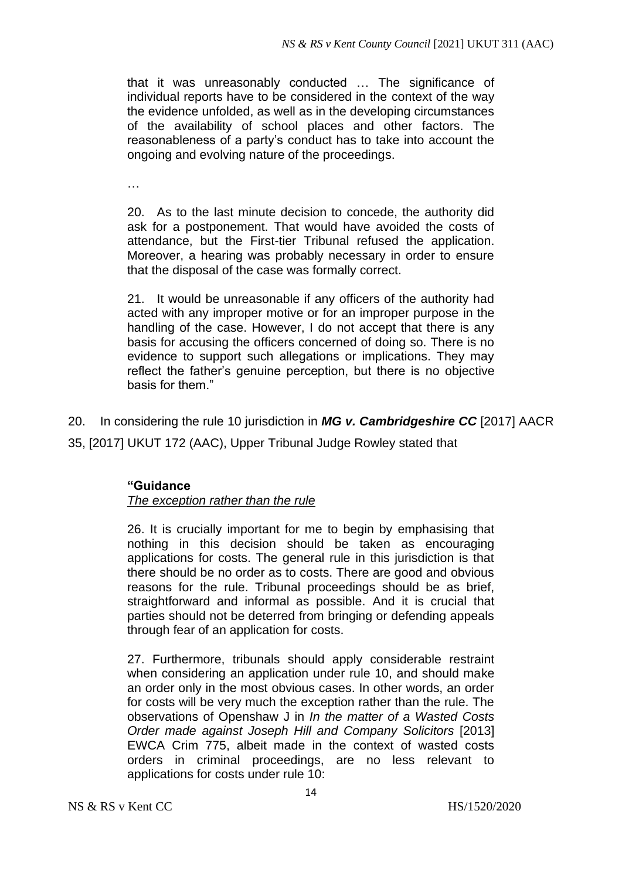that it was unreasonably conducted … The significance of individual reports have to be considered in the context of the way the evidence unfolded, as well as in the developing circumstances of the availability of school places and other factors. The reasonableness of a party's conduct has to take into account the ongoing and evolving nature of the proceedings.

…

20. As to the last minute decision to concede, the authority did ask for a postponement. That would have avoided the costs of attendance, but the First-tier Tribunal refused the application. Moreover, a hearing was probably necessary in order to ensure that the disposal of the case was formally correct.

21. It would be unreasonable if any officers of the authority had acted with any improper motive or for an improper purpose in the handling of the case. However, I do not accept that there is any basis for accusing the officers concerned of doing so. There is no evidence to support such allegations or implications. They may reflect the father's genuine perception, but there is no objective basis for them"

20. In considering the rule 10 jurisdiction in *MG v. Cambridgeshire CC* [2017] AACR 35, [2017] UKUT 172 (AAC), Upper Tribunal Judge Rowley stated that

# **"Guidance**

# *The exception rather than the rule*

26. It is crucially important for me to begin by emphasising that nothing in this decision should be taken as encouraging applications for costs. The general rule in this jurisdiction is that there should be no order as to costs. There are good and obvious reasons for the rule. Tribunal proceedings should be as brief, straightforward and informal as possible. And it is crucial that parties should not be deterred from bringing or defending appeals through fear of an application for costs.

27. Furthermore, tribunals should apply considerable restraint when considering an application under rule 10, and should make an order only in the most obvious cases. In other words, an order for costs will be very much the exception rather than the rule. The observations of Openshaw J in *In the matter of a Wasted Costs Order made against Joseph Hill and Company Solicitors* [2013] EWCA Crim 775, albeit made in the context of wasted costs orders in criminal proceedings, are no less relevant to applications for costs under rule 10: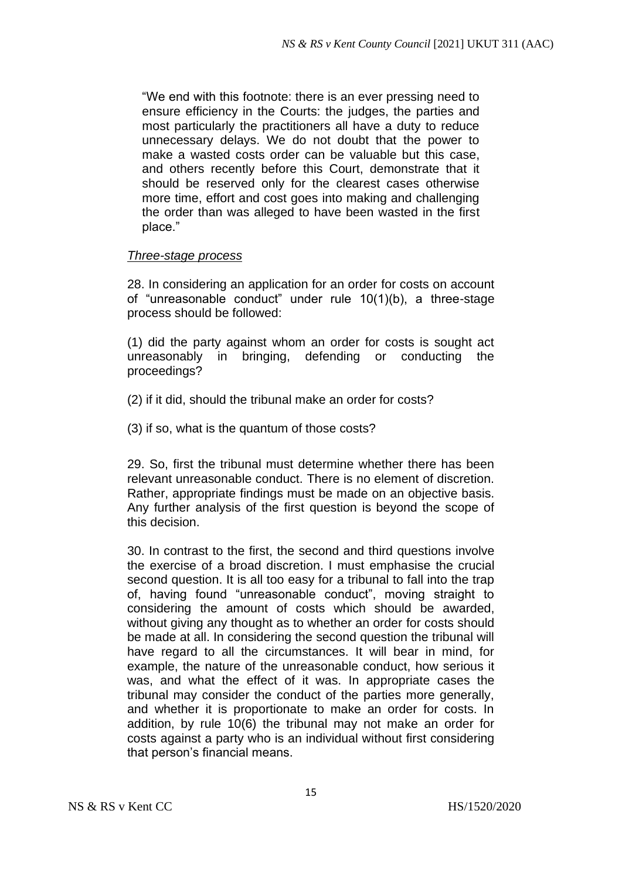"We end with this footnote: there is an ever pressing need to ensure efficiency in the Courts: the judges, the parties and most particularly the practitioners all have a duty to reduce unnecessary delays. We do not doubt that the power to make a wasted costs order can be valuable but this case, and others recently before this Court, demonstrate that it should be reserved only for the clearest cases otherwise more time, effort and cost goes into making and challenging the order than was alleged to have been wasted in the first place."

## *Three-stage process*

28. In considering an application for an order for costs on account of "unreasonable conduct" under rule 10(1)(b), a three-stage process should be followed:

(1) did the party against whom an order for costs is sought act unreasonably in bringing, defending or conducting the proceedings?

- (2) if it did, should the tribunal make an order for costs?
- (3) if so, what is the quantum of those costs?

29. So, first the tribunal must determine whether there has been relevant unreasonable conduct. There is no element of discretion. Rather, appropriate findings must be made on an objective basis. Any further analysis of the first question is beyond the scope of this decision.

30. In contrast to the first, the second and third questions involve the exercise of a broad discretion. I must emphasise the crucial second question. It is all too easy for a tribunal to fall into the trap of, having found "unreasonable conduct", moving straight to considering the amount of costs which should be awarded, without giving any thought as to whether an order for costs should be made at all. In considering the second question the tribunal will have regard to all the circumstances. It will bear in mind, for example, the nature of the unreasonable conduct, how serious it was, and what the effect of it was. In appropriate cases the tribunal may consider the conduct of the parties more generally, and whether it is proportionate to make an order for costs. In addition, by rule 10(6) the tribunal may not make an order for costs against a party who is an individual without first considering that person's financial means.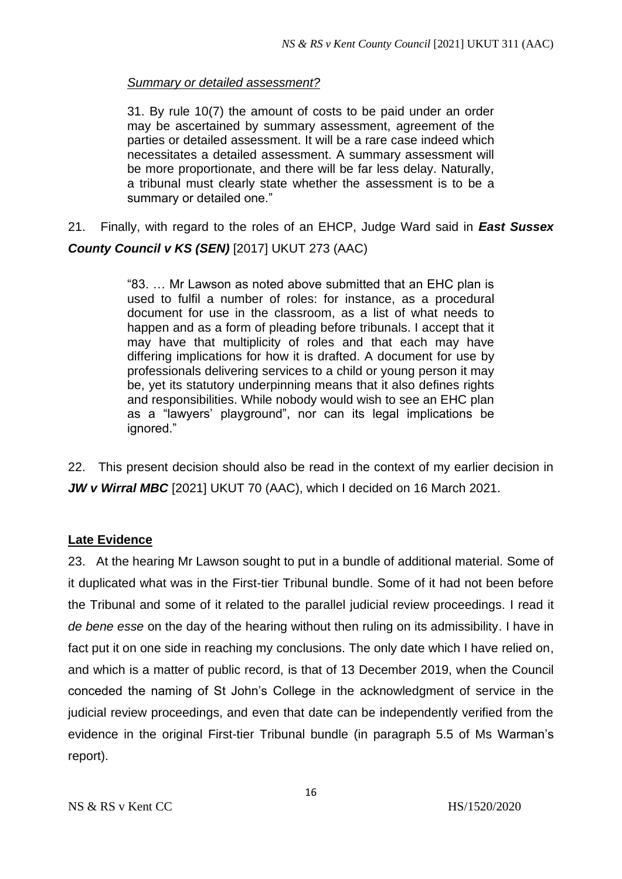## *Summary or detailed assessment?*

31. By rule 10(7) the amount of costs to be paid under an order may be ascertained by summary assessment, agreement of the parties or detailed assessment. It will be a rare case indeed which necessitates a detailed assessment. A summary assessment will be more proportionate, and there will be far less delay. Naturally, a tribunal must clearly state whether the assessment is to be a summary or detailed one."

21. Finally, with regard to the roles of an EHCP, Judge Ward said in *East Sussex County Council v KS (SEN)* [2017] UKUT 273 (AAC)

> "83. … Mr Lawson as noted above submitted that an EHC plan is used to fulfil a number of roles: for instance, as a procedural document for use in the classroom, as a list of what needs to happen and as a form of pleading before tribunals. I accept that it may have that multiplicity of roles and that each may have differing implications for how it is drafted. A document for use by professionals delivering services to a child or young person it may be, yet its statutory underpinning means that it also defines rights and responsibilities. While nobody would wish to see an EHC plan as a "lawyers' playground", nor can its legal implications be ignored."

22. This present decision should also be read in the context of my earlier decision in *JW v Wirral MBC* [2021] UKUT 70 (AAC), which I decided on 16 March 2021.

# **Late Evidence**

23. At the hearing Mr Lawson sought to put in a bundle of additional material. Some of it duplicated what was in the First-tier Tribunal bundle. Some of it had not been before the Tribunal and some of it related to the parallel judicial review proceedings. I read it *de bene esse* on the day of the hearing without then ruling on its admissibility. I have in fact put it on one side in reaching my conclusions. The only date which I have relied on, and which is a matter of public record, is that of 13 December 2019, when the Council conceded the naming of St John's College in the acknowledgment of service in the judicial review proceedings, and even that date can be independently verified from the evidence in the original First-tier Tribunal bundle (in paragraph 5.5 of Ms Warman's report).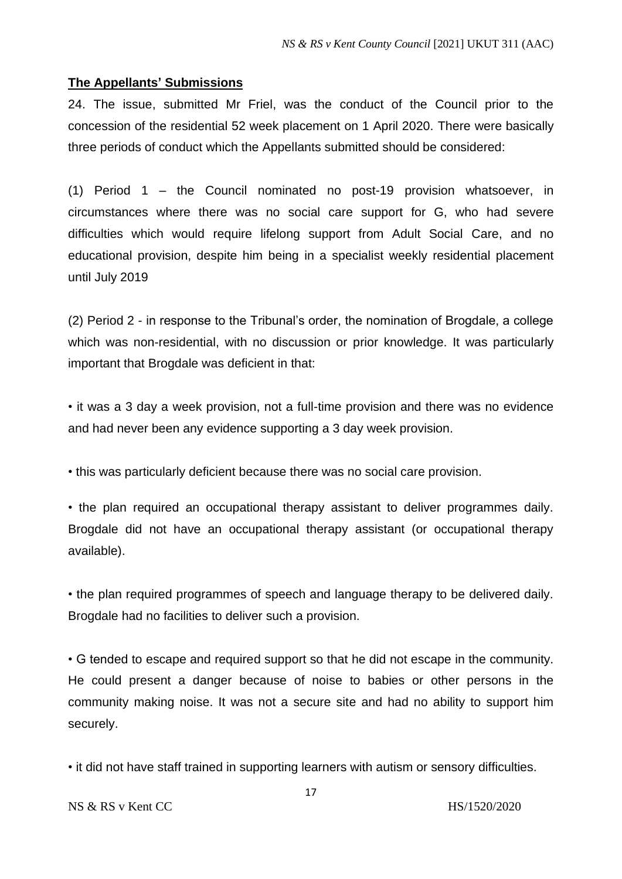## **The Appellants' Submissions**

24. The issue, submitted Mr Friel, was the conduct of the Council prior to the concession of the residential 52 week placement on 1 April 2020. There were basically three periods of conduct which the Appellants submitted should be considered:

(1) Period 1 – the Council nominated no post-19 provision whatsoever, in circumstances where there was no social care support for G, who had severe difficulties which would require lifelong support from Adult Social Care, and no educational provision, despite him being in a specialist weekly residential placement until July 2019

(2) Period 2 - in response to the Tribunal's order, the nomination of Brogdale, a college which was non-residential, with no discussion or prior knowledge. It was particularly important that Brogdale was deficient in that:

• it was a 3 day a week provision, not a full-time provision and there was no evidence and had never been any evidence supporting a 3 day week provision.

• this was particularly deficient because there was no social care provision.

• the plan required an occupational therapy assistant to deliver programmes daily. Brogdale did not have an occupational therapy assistant (or occupational therapy available).

• the plan required programmes of speech and language therapy to be delivered daily. Brogdale had no facilities to deliver such a provision.

• G tended to escape and required support so that he did not escape in the community. He could present a danger because of noise to babies or other persons in the community making noise. It was not a secure site and had no ability to support him securely.

• it did not have staff trained in supporting learners with autism or sensory difficulties.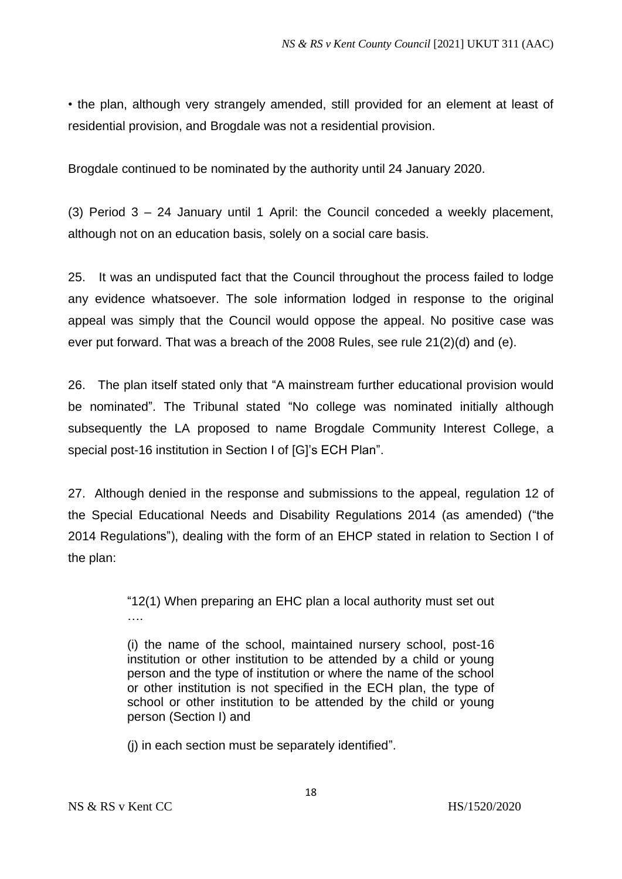• the plan, although very strangely amended, still provided for an element at least of residential provision, and Brogdale was not a residential provision.

Brogdale continued to be nominated by the authority until 24 January 2020.

(3) Period 3 – 24 January until 1 April: the Council conceded a weekly placement, although not on an education basis, solely on a social care basis.

25. It was an undisputed fact that the Council throughout the process failed to lodge any evidence whatsoever. The sole information lodged in response to the original appeal was simply that the Council would oppose the appeal. No positive case was ever put forward. That was a breach of the 2008 Rules, see rule 21(2)(d) and (e).

26. The plan itself stated only that "A mainstream further educational provision would be nominated". The Tribunal stated "No college was nominated initially although subsequently the LA proposed to name Brogdale Community Interest College, a special post-16 institution in Section I of [G]'s ECH Plan".

27. Although denied in the response and submissions to the appeal, regulation 12 of the Special Educational Needs and Disability Regulations 2014 (as amended) ("the 2014 Regulations"), dealing with the form of an EHCP stated in relation to Section I of the plan:

> "12(1) When preparing an EHC plan a local authority must set out ….

> (i) the name of the school, maintained nursery school, post-16 institution or other institution to be attended by a child or young person and the type of institution or where the name of the school or other institution is not specified in the ECH plan, the type of school or other institution to be attended by the child or young person (Section I) and

(j) in each section must be separately identified".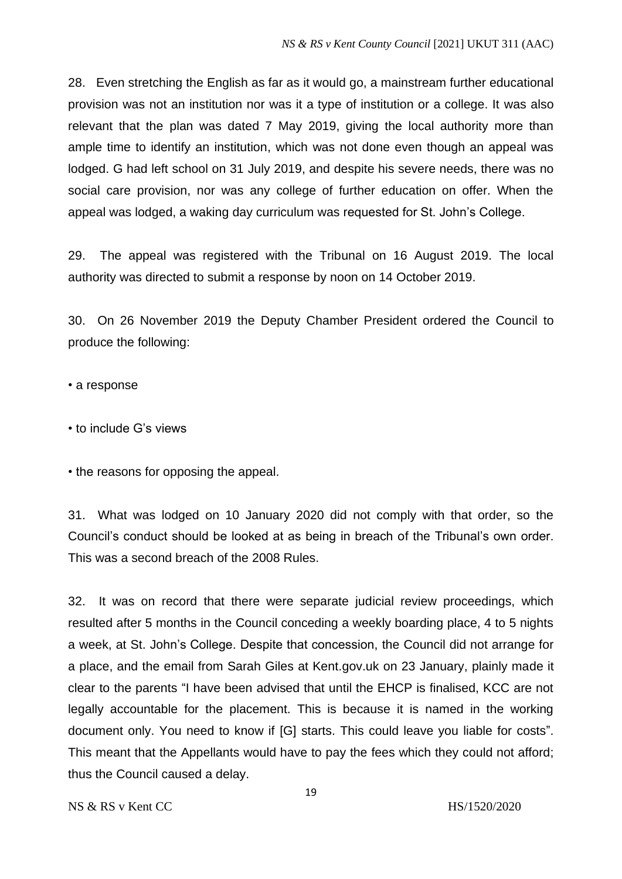28. Even stretching the English as far as it would go, a mainstream further educational provision was not an institution nor was it a type of institution or a college. It was also relevant that the plan was dated 7 May 2019, giving the local authority more than ample time to identify an institution, which was not done even though an appeal was lodged. G had left school on 31 July 2019, and despite his severe needs, there was no social care provision, nor was any college of further education on offer. When the appeal was lodged, a waking day curriculum was requested for St. John's College.

29. The appeal was registered with the Tribunal on 16 August 2019. The local authority was directed to submit a response by noon on 14 October 2019.

30. On 26 November 2019 the Deputy Chamber President ordered the Council to produce the following:

• a response

• to include G's views

• the reasons for opposing the appeal.

31. What was lodged on 10 January 2020 did not comply with that order, so the Council's conduct should be looked at as being in breach of the Tribunal's own order. This was a second breach of the 2008 Rules.

32. It was on record that there were separate judicial review proceedings, which resulted after 5 months in the Council conceding a weekly boarding place, 4 to 5 nights a week, at St. John's College. Despite that concession, the Council did not arrange for a place, and the email from Sarah Giles at Kent.gov.uk on 23 January, plainly made it clear to the parents "I have been advised that until the EHCP is finalised, KCC are not legally accountable for the placement. This is because it is named in the working document only. You need to know if [G] starts. This could leave you liable for costs". This meant that the Appellants would have to pay the fees which they could not afford; thus the Council caused a delay.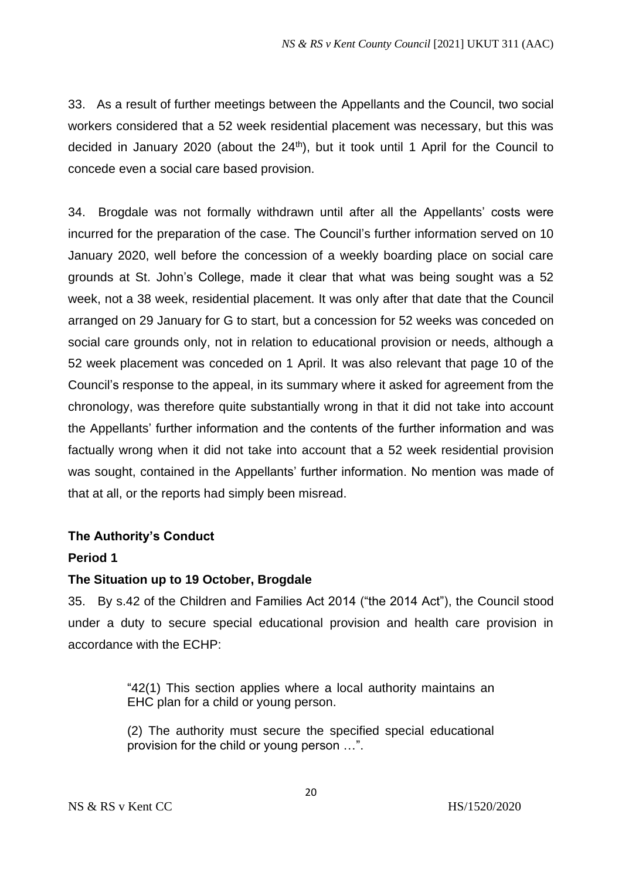33. As a result of further meetings between the Appellants and the Council, two social workers considered that a 52 week residential placement was necessary, but this was decided in January 2020 (about the 24<sup>th</sup>), but it took until 1 April for the Council to concede even a social care based provision.

34. Brogdale was not formally withdrawn until after all the Appellants' costs were incurred for the preparation of the case. The Council's further information served on 10 January 2020, well before the concession of a weekly boarding place on social care grounds at St. John's College, made it clear that what was being sought was a 52 week, not a 38 week, residential placement. It was only after that date that the Council arranged on 29 January for G to start, but a concession for 52 weeks was conceded on social care grounds only, not in relation to educational provision or needs, although a 52 week placement was conceded on 1 April. It was also relevant that page 10 of the Council's response to the appeal, in its summary where it asked for agreement from the chronology, was therefore quite substantially wrong in that it did not take into account the Appellants' further information and the contents of the further information and was factually wrong when it did not take into account that a 52 week residential provision was sought, contained in the Appellants' further information. No mention was made of that at all, or the reports had simply been misread.

# **The Authority's Conduct**

### **Period 1**

# **The Situation up to 19 October, Brogdale**

35. By s.42 of the Children and Families Act 2014 ("the 2014 Act"), the Council stood under a duty to secure special educational provision and health care provision in accordance with the ECHP:

> "42(1) This section applies where a local authority maintains an EHC plan for a child or young person.

> (2) The authority must secure the specified special educational provision for the child or young person …".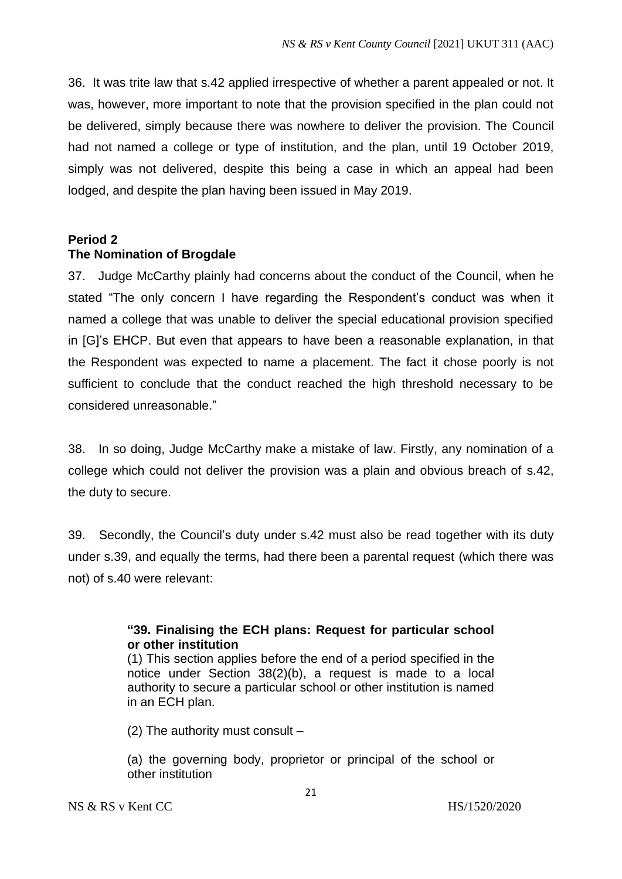36. It was trite law that s.42 applied irrespective of whether a parent appealed or not. It was, however, more important to note that the provision specified in the plan could not be delivered, simply because there was nowhere to deliver the provision. The Council had not named a college or type of institution, and the plan, until 19 October 2019, simply was not delivered, despite this being a case in which an appeal had been lodged, and despite the plan having been issued in May 2019.

# **Period 2 The Nomination of Brogdale**

37. Judge McCarthy plainly had concerns about the conduct of the Council, when he stated "The only concern I have regarding the Respondent's conduct was when it named a college that was unable to deliver the special educational provision specified in [G]'s EHCP. But even that appears to have been a reasonable explanation, in that the Respondent was expected to name a placement. The fact it chose poorly is not sufficient to conclude that the conduct reached the high threshold necessary to be considered unreasonable."

38. In so doing, Judge McCarthy make a mistake of law. Firstly, any nomination of a college which could not deliver the provision was a plain and obvious breach of s.42, the duty to secure.

39. Secondly, the Council's duty under s.42 must also be read together with its duty under s.39, and equally the terms, had there been a parental request (which there was not) of s.40 were relevant:

# **"39. Finalising the ECH plans: Request for particular school or other institution**

(1) This section applies before the end of a period specified in the notice under Section 38(2)(b), a request is made to a local authority to secure a particular school or other institution is named in an ECH plan.

(2) The authority must consult –

(a) the governing body, proprietor or principal of the school or other institution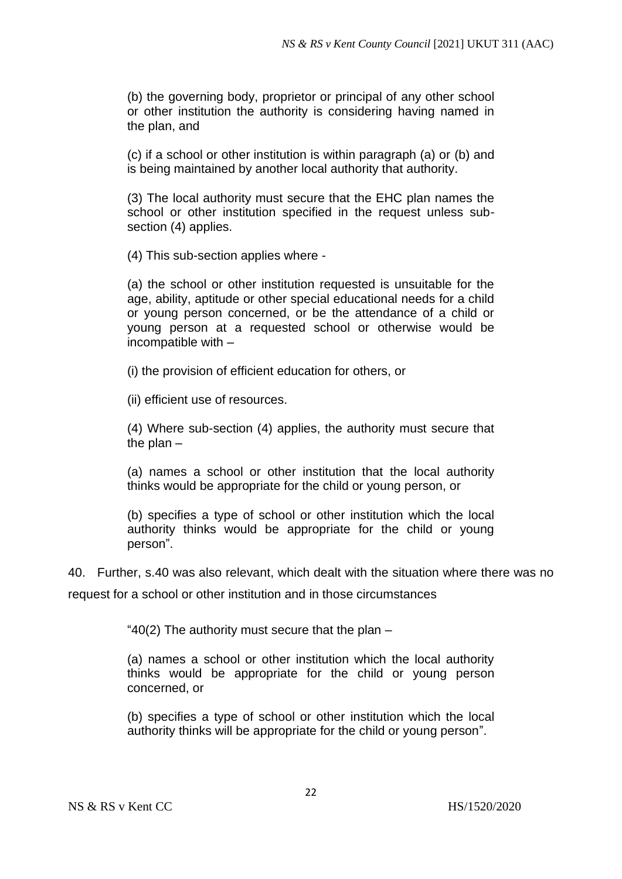(b) the governing body, proprietor or principal of any other school or other institution the authority is considering having named in the plan, and

(c) if a school or other institution is within paragraph (a) or (b) and is being maintained by another local authority that authority.

(3) The local authority must secure that the EHC plan names the school or other institution specified in the request unless subsection (4) applies.

(4) This sub-section applies where -

(a) the school or other institution requested is unsuitable for the age, ability, aptitude or other special educational needs for a child or young person concerned, or be the attendance of a child or young person at a requested school or otherwise would be incompatible with –

(i) the provision of efficient education for others, or

(ii) efficient use of resources.

(4) Where sub-section (4) applies, the authority must secure that the plan –

(a) names a school or other institution that the local authority thinks would be appropriate for the child or young person, or

(b) specifies a type of school or other institution which the local authority thinks would be appropriate for the child or young person".

40. Further, s.40 was also relevant, which dealt with the situation where there was no

request for a school or other institution and in those circumstances

" $40(2)$  The authority must secure that the plan  $-$ 

(a) names a school or other institution which the local authority thinks would be appropriate for the child or young person concerned, or

(b) specifies a type of school or other institution which the local authority thinks will be appropriate for the child or young person".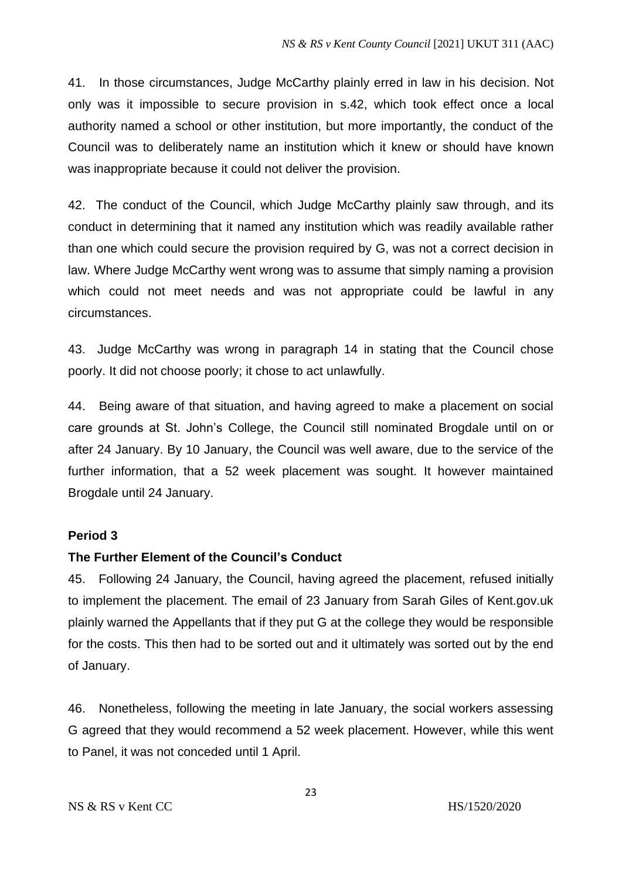41. In those circumstances, Judge McCarthy plainly erred in law in his decision. Not only was it impossible to secure provision in s.42, which took effect once a local authority named a school or other institution, but more importantly, the conduct of the Council was to deliberately name an institution which it knew or should have known was inappropriate because it could not deliver the provision.

42. The conduct of the Council, which Judge McCarthy plainly saw through, and its conduct in determining that it named any institution which was readily available rather than one which could secure the provision required by G, was not a correct decision in law. Where Judge McCarthy went wrong was to assume that simply naming a provision which could not meet needs and was not appropriate could be lawful in any circumstances.

43. Judge McCarthy was wrong in paragraph 14 in stating that the Council chose poorly. It did not choose poorly; it chose to act unlawfully.

44. Being aware of that situation, and having agreed to make a placement on social care grounds at St. John's College, the Council still nominated Brogdale until on or after 24 January. By 10 January, the Council was well aware, due to the service of the further information, that a 52 week placement was sought. It however maintained Brogdale until 24 January.

# **Period 3**

# **The Further Element of the Council's Conduct**

45. Following 24 January, the Council, having agreed the placement, refused initially to implement the placement. The email of 23 January from Sarah Giles of Kent.gov.uk plainly warned the Appellants that if they put G at the college they would be responsible for the costs. This then had to be sorted out and it ultimately was sorted out by the end of January.

46. Nonetheless, following the meeting in late January, the social workers assessing G agreed that they would recommend a 52 week placement. However, while this went to Panel, it was not conceded until 1 April.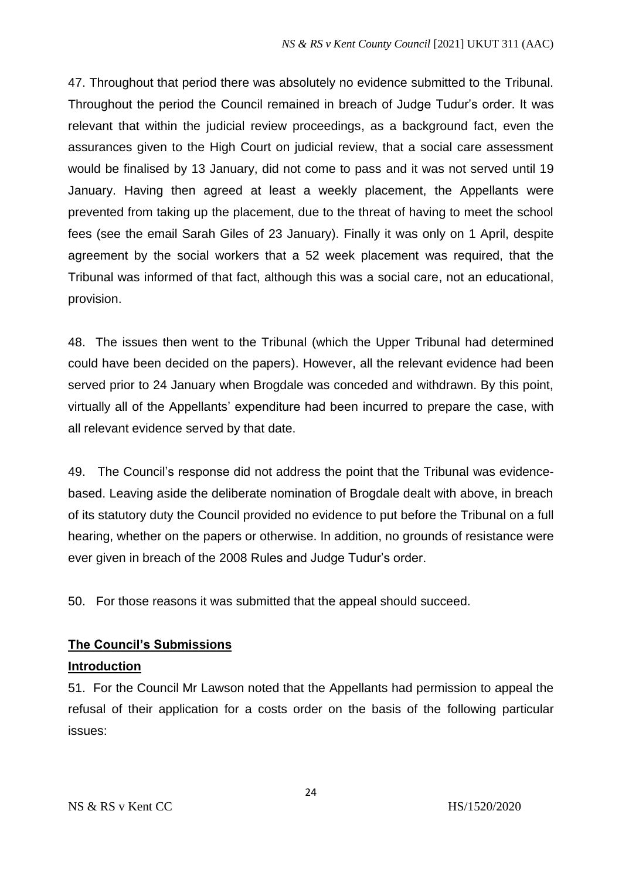47. Throughout that period there was absolutely no evidence submitted to the Tribunal. Throughout the period the Council remained in breach of Judge Tudur's order. It was relevant that within the judicial review proceedings, as a background fact, even the assurances given to the High Court on judicial review, that a social care assessment would be finalised by 13 January, did not come to pass and it was not served until 19 January. Having then agreed at least a weekly placement, the Appellants were prevented from taking up the placement, due to the threat of having to meet the school fees (see the email Sarah Giles of 23 January). Finally it was only on 1 April, despite agreement by the social workers that a 52 week placement was required, that the Tribunal was informed of that fact, although this was a social care, not an educational, provision.

48. The issues then went to the Tribunal (which the Upper Tribunal had determined could have been decided on the papers). However, all the relevant evidence had been served prior to 24 January when Brogdale was conceded and withdrawn. By this point, virtually all of the Appellants' expenditure had been incurred to prepare the case, with all relevant evidence served by that date.

49. The Council's response did not address the point that the Tribunal was evidencebased. Leaving aside the deliberate nomination of Brogdale dealt with above, in breach of its statutory duty the Council provided no evidence to put before the Tribunal on a full hearing, whether on the papers or otherwise. In addition, no grounds of resistance were ever given in breach of the 2008 Rules and Judge Tudur's order.

50. For those reasons it was submitted that the appeal should succeed.

# **The Council's Submissions**

# **Introduction**

51. For the Council Mr Lawson noted that the Appellants had permission to appeal the refusal of their application for a costs order on the basis of the following particular issues: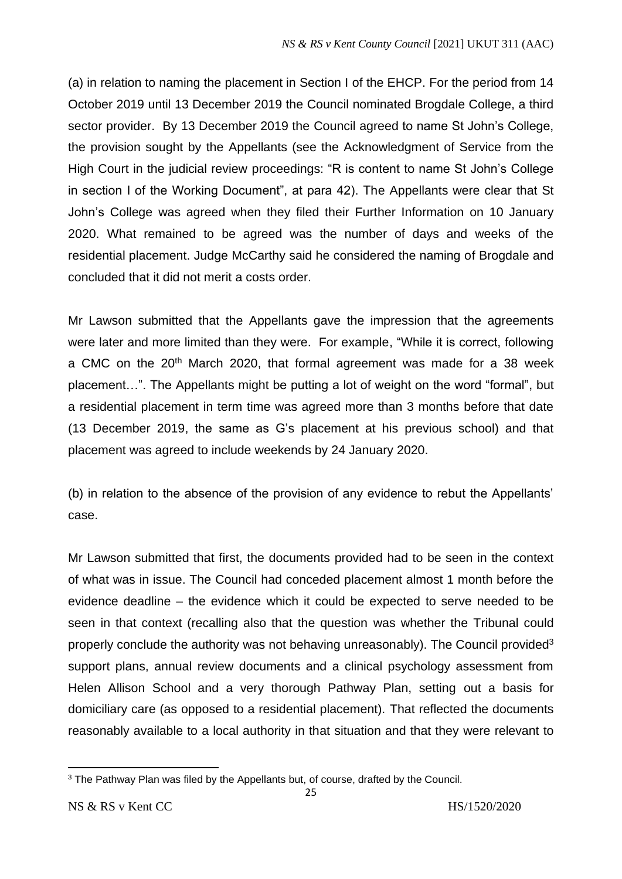(a) in relation to naming the placement in Section I of the EHCP. For the period from 14 October 2019 until 13 December 2019 the Council nominated Brogdale College, a third sector provider. By 13 December 2019 the Council agreed to name St John's College, the provision sought by the Appellants (see the Acknowledgment of Service from the High Court in the judicial review proceedings: "R is content to name St John's College in section I of the Working Document", at para 42). The Appellants were clear that St John's College was agreed when they filed their Further Information on 10 January 2020. What remained to be agreed was the number of days and weeks of the residential placement. Judge McCarthy said he considered the naming of Brogdale and concluded that it did not merit a costs order.

Mr Lawson submitted that the Appellants gave the impression that the agreements were later and more limited than they were. For example, "While it is correct, following a CMC on the 20<sup>th</sup> March 2020, that formal agreement was made for a 38 week placement…". The Appellants might be putting a lot of weight on the word "formal", but a residential placement in term time was agreed more than 3 months before that date (13 December 2019, the same as G's placement at his previous school) and that placement was agreed to include weekends by 24 January 2020.

(b) in relation to the absence of the provision of any evidence to rebut the Appellants' case.

Mr Lawson submitted that first, the documents provided had to be seen in the context of what was in issue. The Council had conceded placement almost 1 month before the evidence deadline – the evidence which it could be expected to serve needed to be seen in that context (recalling also that the question was whether the Tribunal could properly conclude the authority was not behaving unreasonably). The Council provided<sup>3</sup> support plans, annual review documents and a clinical psychology assessment from Helen Allison School and a very thorough Pathway Plan, setting out a basis for domiciliary care (as opposed to a residential placement). That reflected the documents reasonably available to a local authority in that situation and that they were relevant to

<sup>&</sup>lt;sup>3</sup> The Pathway Plan was filed by the Appellants but, of course, drafted by the Council.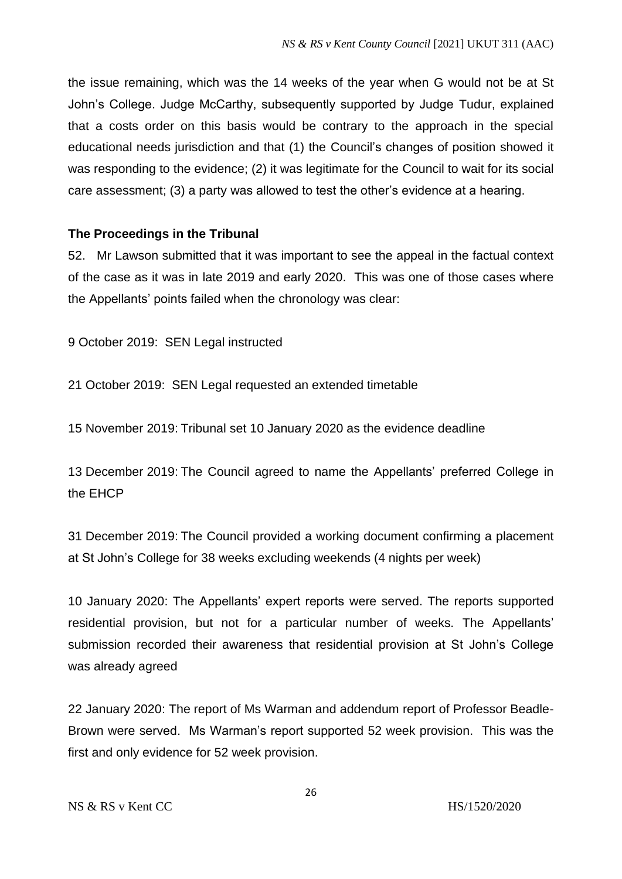the issue remaining, which was the 14 weeks of the year when G would not be at St John's College. Judge McCarthy, subsequently supported by Judge Tudur, explained that a costs order on this basis would be contrary to the approach in the special educational needs jurisdiction and that (1) the Council's changes of position showed it was responding to the evidence; (2) it was legitimate for the Council to wait for its social care assessment; (3) a party was allowed to test the other's evidence at a hearing.

## **The Proceedings in the Tribunal**

52. Mr Lawson submitted that it was important to see the appeal in the factual context of the case as it was in late 2019 and early 2020. This was one of those cases where the Appellants' points failed when the chronology was clear:

9 October 2019: SEN Legal instructed

21 October 2019: SEN Legal requested an extended timetable

15 November 2019: Tribunal set 10 January 2020 as the evidence deadline

13 December 2019: The Council agreed to name the Appellants' preferred College in the EHCP

31 December 2019: The Council provided a working document confirming a placement at St John's College for 38 weeks excluding weekends (4 nights per week)

10 January 2020: The Appellants' expert reports were served. The reports supported residential provision, but not for a particular number of weeks. The Appellants' submission recorded their awareness that residential provision at St John's College was already agreed

22 January 2020: The report of Ms Warman and addendum report of Professor Beadle-Brown were served. Ms Warman's report supported 52 week provision. This was the first and only evidence for 52 week provision.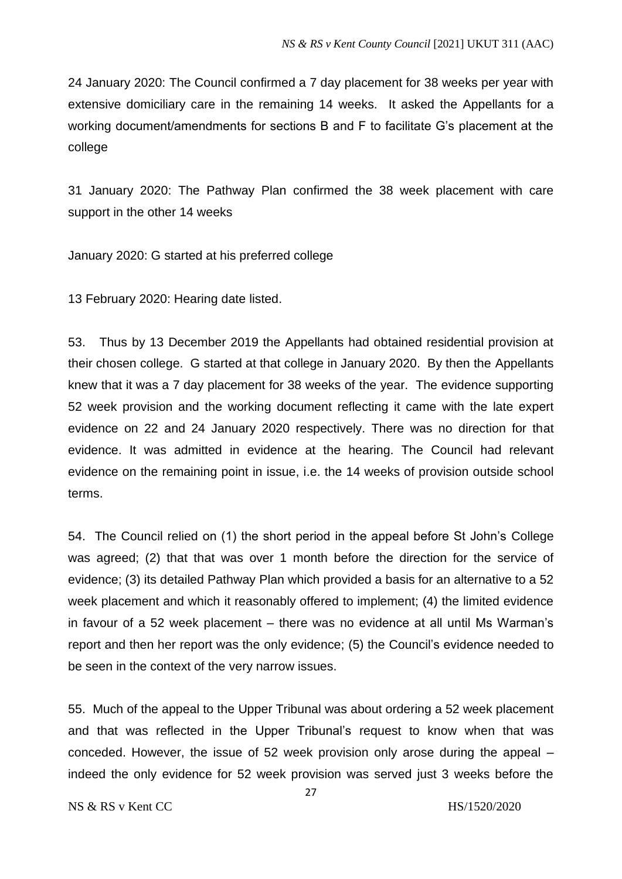24 January 2020: The Council confirmed a 7 day placement for 38 weeks per year with extensive domiciliary care in the remaining 14 weeks. It asked the Appellants for a working document/amendments for sections B and F to facilitate G's placement at the college

31 January 2020: The Pathway Plan confirmed the 38 week placement with care support in the other 14 weeks

January 2020: G started at his preferred college

13 February 2020: Hearing date listed.

53. Thus by 13 December 2019 the Appellants had obtained residential provision at their chosen college. G started at that college in January 2020. By then the Appellants knew that it was a 7 day placement for 38 weeks of the year. The evidence supporting 52 week provision and the working document reflecting it came with the late expert evidence on 22 and 24 January 2020 respectively. There was no direction for that evidence. It was admitted in evidence at the hearing. The Council had relevant evidence on the remaining point in issue, i.e. the 14 weeks of provision outside school terms.

54. The Council relied on (1) the short period in the appeal before St John's College was agreed; (2) that that was over 1 month before the direction for the service of evidence; (3) its detailed Pathway Plan which provided a basis for an alternative to a 52 week placement and which it reasonably offered to implement; (4) the limited evidence in favour of a 52 week placement – there was no evidence at all until Ms Warman's report and then her report was the only evidence; (5) the Council's evidence needed to be seen in the context of the very narrow issues.

55. Much of the appeal to the Upper Tribunal was about ordering a 52 week placement and that was reflected in the Upper Tribunal's request to know when that was conceded. However, the issue of 52 week provision only arose during the appeal – indeed the only evidence for 52 week provision was served just 3 weeks before the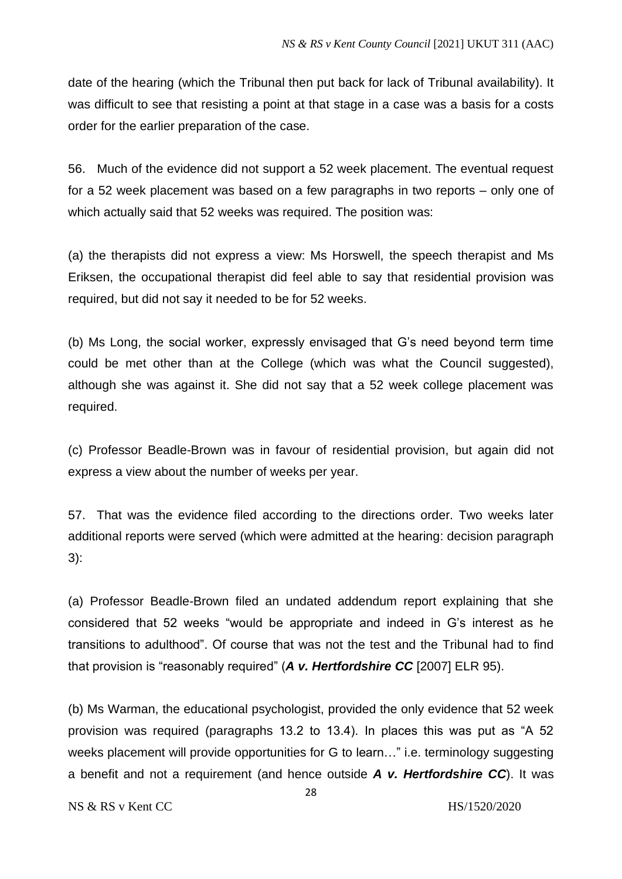date of the hearing (which the Tribunal then put back for lack of Tribunal availability). It was difficult to see that resisting a point at that stage in a case was a basis for a costs order for the earlier preparation of the case.

56. Much of the evidence did not support a 52 week placement. The eventual request for a 52 week placement was based on a few paragraphs in two reports – only one of which actually said that 52 weeks was required. The position was:

(a) the therapists did not express a view: Ms Horswell, the speech therapist and Ms Eriksen, the occupational therapist did feel able to say that residential provision was required, but did not say it needed to be for 52 weeks.

(b) Ms Long, the social worker, expressly envisaged that G's need beyond term time could be met other than at the College (which was what the Council suggested), although she was against it. She did not say that a 52 week college placement was required.

(c) Professor Beadle-Brown was in favour of residential provision, but again did not express a view about the number of weeks per year.

57. That was the evidence filed according to the directions order. Two weeks later additional reports were served (which were admitted at the hearing: decision paragraph 3):

(a) Professor Beadle-Brown filed an undated addendum report explaining that she considered that 52 weeks "would be appropriate and indeed in G's interest as he transitions to adulthood". Of course that was not the test and the Tribunal had to find that provision is "reasonably required" (*A v. Hertfordshire CC* [2007] ELR 95).

(b) Ms Warman, the educational psychologist, provided the only evidence that 52 week provision was required (paragraphs 13.2 to 13.4). In places this was put as "A 52 weeks placement will provide opportunities for G to learn…" i.e. terminology suggesting a benefit and not a requirement (and hence outside *A v. Hertfordshire CC*). It was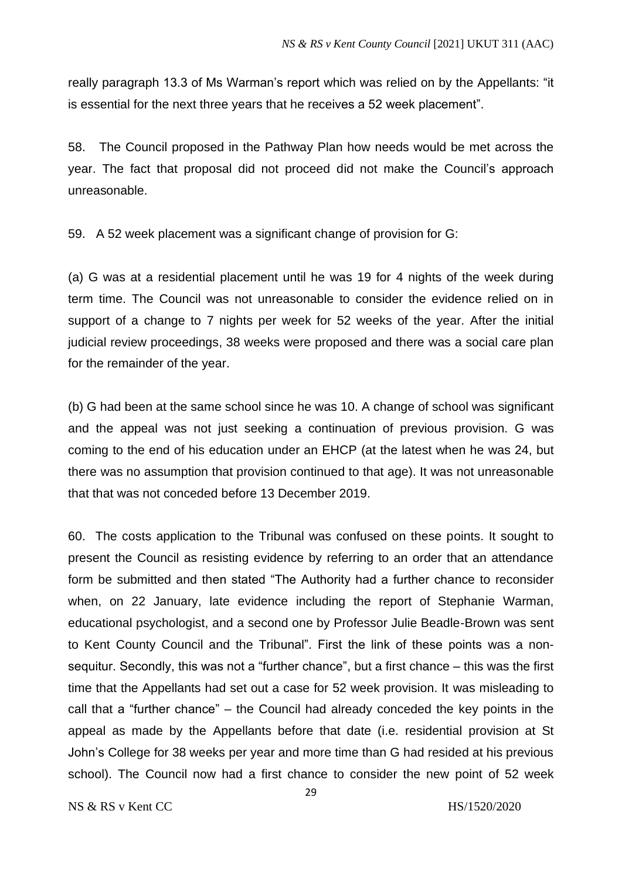really paragraph 13.3 of Ms Warman's report which was relied on by the Appellants: "it is essential for the next three years that he receives a 52 week placement".

58. The Council proposed in the Pathway Plan how needs would be met across the year. The fact that proposal did not proceed did not make the Council's approach unreasonable.

59. A 52 week placement was a significant change of provision for G:

(a) G was at a residential placement until he was 19 for 4 nights of the week during term time. The Council was not unreasonable to consider the evidence relied on in support of a change to 7 nights per week for 52 weeks of the year. After the initial judicial review proceedings, 38 weeks were proposed and there was a social care plan for the remainder of the year.

(b) G had been at the same school since he was 10. A change of school was significant and the appeal was not just seeking a continuation of previous provision. G was coming to the end of his education under an EHCP (at the latest when he was 24, but there was no assumption that provision continued to that age). It was not unreasonable that that was not conceded before 13 December 2019.

60. The costs application to the Tribunal was confused on these points. It sought to present the Council as resisting evidence by referring to an order that an attendance form be submitted and then stated "The Authority had a further chance to reconsider when, on 22 January, late evidence including the report of Stephanie Warman, educational psychologist, and a second one by Professor Julie Beadle-Brown was sent to Kent County Council and the Tribunal". First the link of these points was a nonsequitur. Secondly, this was not a "further chance", but a first chance – this was the first time that the Appellants had set out a case for 52 week provision. It was misleading to call that a "further chance" – the Council had already conceded the key points in the appeal as made by the Appellants before that date (i.e. residential provision at St John's College for 38 weeks per year and more time than G had resided at his previous school). The Council now had a first chance to consider the new point of 52 week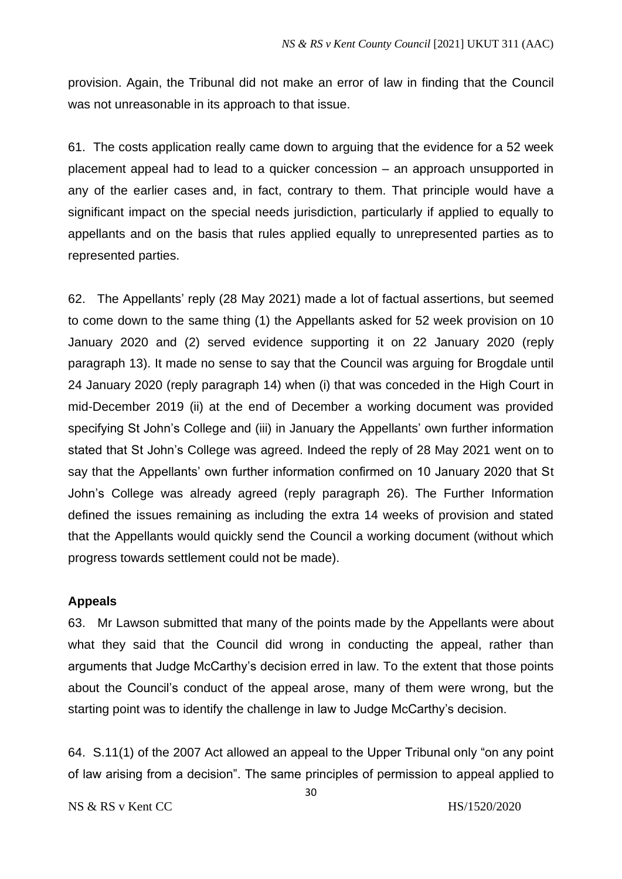provision. Again, the Tribunal did not make an error of law in finding that the Council was not unreasonable in its approach to that issue.

61. The costs application really came down to arguing that the evidence for a 52 week placement appeal had to lead to a quicker concession – an approach unsupported in any of the earlier cases and, in fact, contrary to them. That principle would have a significant impact on the special needs jurisdiction, particularly if applied to equally to appellants and on the basis that rules applied equally to unrepresented parties as to represented parties.

62. The Appellants' reply (28 May 2021) made a lot of factual assertions, but seemed to come down to the same thing (1) the Appellants asked for 52 week provision on 10 January 2020 and (2) served evidence supporting it on 22 January 2020 (reply paragraph 13). It made no sense to say that the Council was arguing for Brogdale until 24 January 2020 (reply paragraph 14) when (i) that was conceded in the High Court in mid-December 2019 (ii) at the end of December a working document was provided specifying St John's College and (iii) in January the Appellants' own further information stated that St John's College was agreed. Indeed the reply of 28 May 2021 went on to say that the Appellants' own further information confirmed on 10 January 2020 that St John's College was already agreed (reply paragraph 26). The Further Information defined the issues remaining as including the extra 14 weeks of provision and stated that the Appellants would quickly send the Council a working document (without which progress towards settlement could not be made).

### **Appeals**

63. Mr Lawson submitted that many of the points made by the Appellants were about what they said that the Council did wrong in conducting the appeal, rather than arguments that Judge McCarthy's decision erred in law. To the extent that those points about the Council's conduct of the appeal arose, many of them were wrong, but the starting point was to identify the challenge in law to Judge McCarthy's decision.

64. S.11(1) of the 2007 Act allowed an appeal to the Upper Tribunal only "on any point of law arising from a decision". The same principles of permission to appeal applied to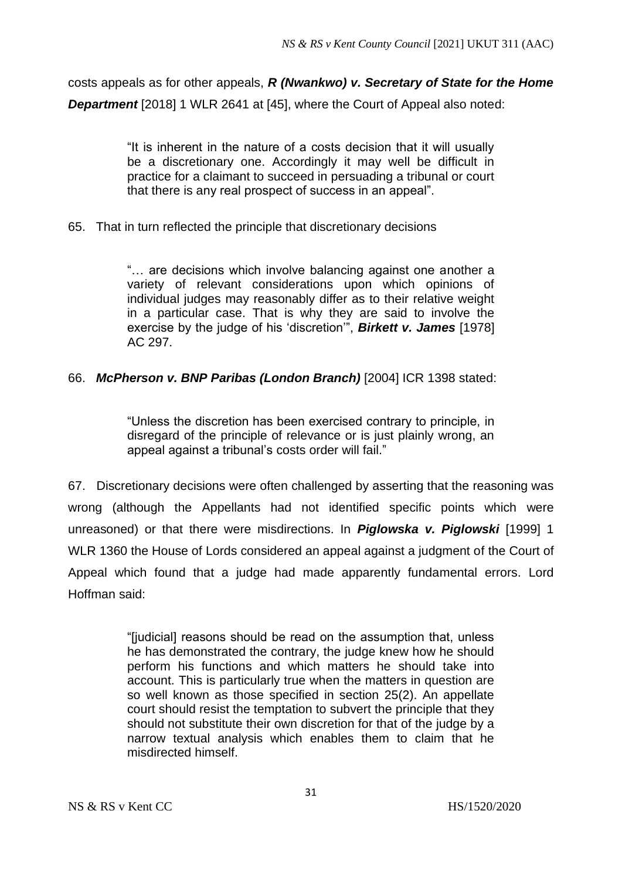costs appeals as for other appeals, *R (Nwankwo) v. Secretary of State for the Home Department* [2018] 1 WLR 2641 at [45], where the Court of Appeal also noted:

> "It is inherent in the nature of a costs decision that it will usually be a discretionary one. Accordingly it may well be difficult in practice for a claimant to succeed in persuading a tribunal or court that there is any real prospect of success in an appeal".

65. That in turn reflected the principle that discretionary decisions

"… are decisions which involve balancing against one another a variety of relevant considerations upon which opinions of individual judges may reasonably differ as to their relative weight in a particular case. That is why they are said to involve the exercise by the judge of his 'discretion'", *Birkett v. James* [1978] AC 297.

# 66. *McPherson v. BNP Paribas (London Branch)* [2004] ICR 1398 stated:

"Unless the discretion has been exercised contrary to principle, in disregard of the principle of relevance or is just plainly wrong, an appeal against a tribunal's costs order will fail."

67. Discretionary decisions were often challenged by asserting that the reasoning was wrong (although the Appellants had not identified specific points which were unreasoned) or that there were misdirections. In *Piglowska v. Piglowski* [1999] 1 WLR 1360 the House of Lords considered an appeal against a judgment of the Court of Appeal which found that a judge had made apparently fundamental errors. Lord Hoffman said:

> "[judicial] reasons should be read on the assumption that, unless he has demonstrated the contrary, the judge knew how he should perform his functions and which matters he should take into account. This is particularly true when the matters in question are so well known as those specified in section 25(2). An appellate court should resist the temptation to subvert the principle that they should not substitute their own discretion for that of the judge by a narrow textual analysis which enables them to claim that he misdirected himself.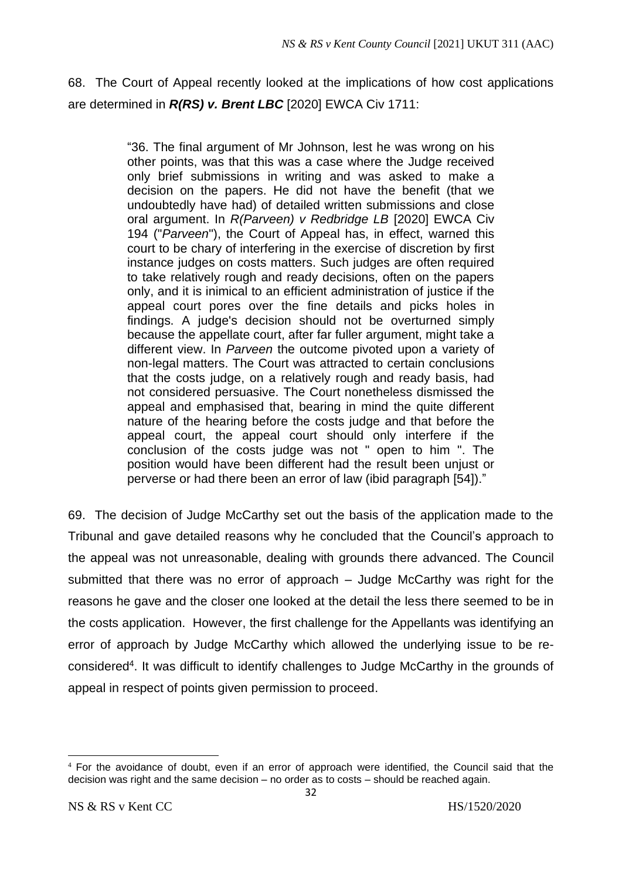68. The Court of Appeal recently looked at the implications of how cost applications are determined in *R(RS) v. Brent LBC* [2020] EWCA Civ 1711:

> "36. The final argument of Mr Johnson, lest he was wrong on his other points, was that this was a case where the Judge received only brief submissions in writing and was asked to make a decision on the papers. He did not have the benefit (that we undoubtedly have had) of detailed written submissions and close oral argument. In *R(Parveen) v Redbridge LB* [2020] EWCA Civ 194 ("*Parveen*"), the Court of Appeal has, in effect, warned this court to be chary of interfering in the exercise of discretion by first instance judges on costs matters. Such judges are often required to take relatively rough and ready decisions, often on the papers only, and it is inimical to an efficient administration of justice if the appeal court pores over the fine details and picks holes in findings. A judge's decision should not be overturned simply because the appellate court, after far fuller argument, might take a different view. In *Parveen* the outcome pivoted upon a variety of non-legal matters. The Court was attracted to certain conclusions that the costs judge, on a relatively rough and ready basis, had not considered persuasive. The Court nonetheless dismissed the appeal and emphasised that, bearing in mind the quite different nature of the hearing before the costs judge and that before the appeal court, the appeal court should only interfere if the conclusion of the costs judge was not " open to him ". The position would have been different had the result been unjust or perverse or had there been an error of law (ibid paragraph [54])."

69. The decision of Judge McCarthy set out the basis of the application made to the Tribunal and gave detailed reasons why he concluded that the Council's approach to the appeal was not unreasonable, dealing with grounds there advanced. The Council submitted that there was no error of approach – Judge McCarthy was right for the reasons he gave and the closer one looked at the detail the less there seemed to be in the costs application. However, the first challenge for the Appellants was identifying an error of approach by Judge McCarthy which allowed the underlying issue to be reconsidered<sup>4</sup>. It was difficult to identify challenges to Judge McCarthy in the grounds of appeal in respect of points given permission to proceed.

<sup>4</sup> For the avoidance of doubt, even if an error of approach were identified, the Council said that the decision was right and the same decision – no order as to costs – should be reached again.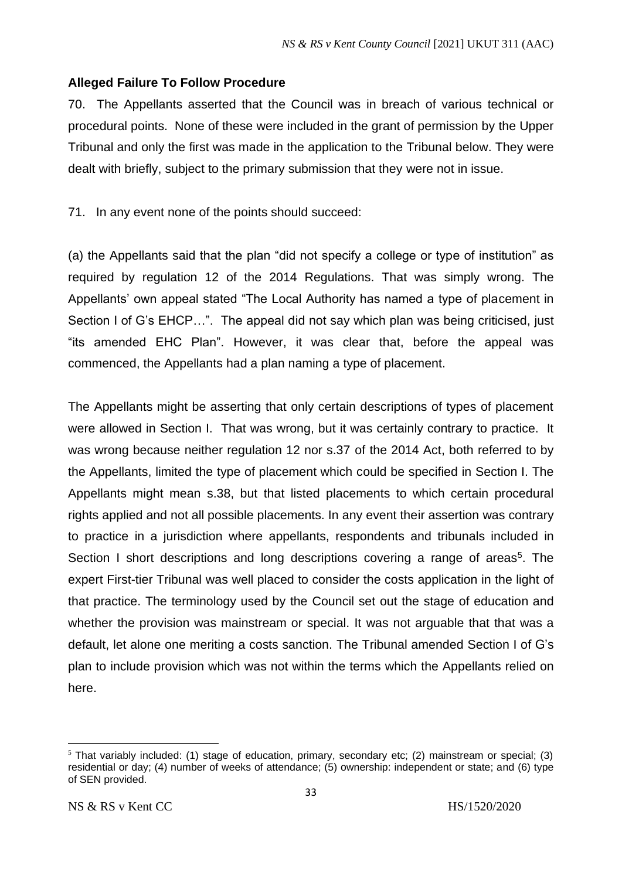# **Alleged Failure To Follow Procedure**

70. The Appellants asserted that the Council was in breach of various technical or procedural points. None of these were included in the grant of permission by the Upper Tribunal and only the first was made in the application to the Tribunal below. They were dealt with briefly, subject to the primary submission that they were not in issue.

71. In any event none of the points should succeed:

(a) the Appellants said that the plan "did not specify a college or type of institution" as required by regulation 12 of the 2014 Regulations. That was simply wrong. The Appellants' own appeal stated "The Local Authority has named a type of placement in Section I of G's EHCP…". The appeal did not say which plan was being criticised, just "its amended EHC Plan". However, it was clear that, before the appeal was commenced, the Appellants had a plan naming a type of placement.

The Appellants might be asserting that only certain descriptions of types of placement were allowed in Section I. That was wrong, but it was certainly contrary to practice. It was wrong because neither regulation 12 nor s.37 of the 2014 Act, both referred to by the Appellants, limited the type of placement which could be specified in Section I. The Appellants might mean s.38, but that listed placements to which certain procedural rights applied and not all possible placements. In any event their assertion was contrary to practice in a jurisdiction where appellants, respondents and tribunals included in Section I short descriptions and long descriptions covering a range of areas<sup>5</sup>. The expert First-tier Tribunal was well placed to consider the costs application in the light of that practice. The terminology used by the Council set out the stage of education and whether the provision was mainstream or special. It was not arguable that that was a default, let alone one meriting a costs sanction. The Tribunal amended Section I of G's plan to include provision which was not within the terms which the Appellants relied on here.

<sup>5</sup> That variably included: (1) stage of education, primary, secondary etc; (2) mainstream or special; (3) residential or day; (4) number of weeks of attendance; (5) ownership: independent or state; and (6) type of SEN provided.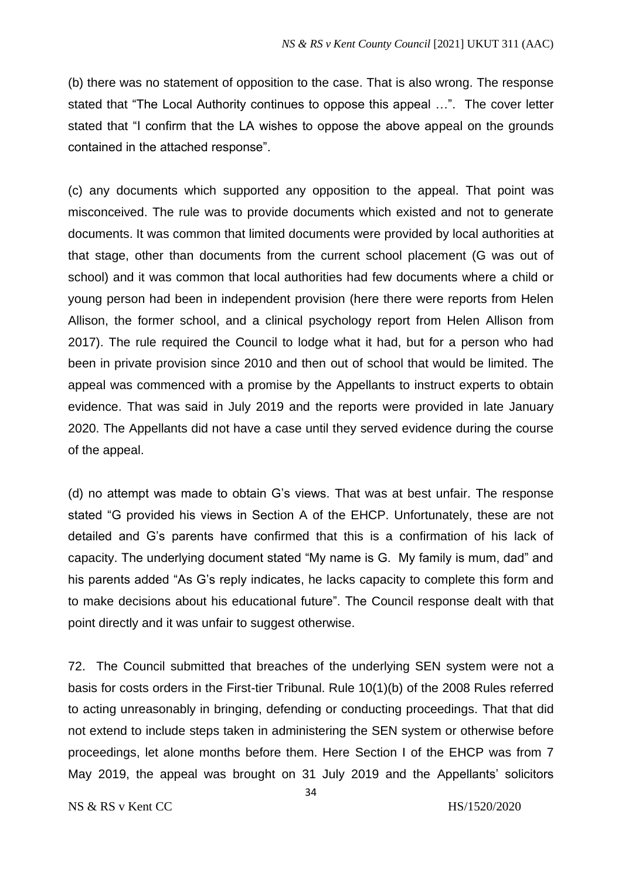(b) there was no statement of opposition to the case. That is also wrong. The response stated that "The Local Authority continues to oppose this appeal …". The cover letter stated that "I confirm that the LA wishes to oppose the above appeal on the grounds contained in the attached response".

(c) any documents which supported any opposition to the appeal. That point was misconceived. The rule was to provide documents which existed and not to generate documents. It was common that limited documents were provided by local authorities at that stage, other than documents from the current school placement (G was out of school) and it was common that local authorities had few documents where a child or young person had been in independent provision (here there were reports from Helen Allison, the former school, and a clinical psychology report from Helen Allison from 2017). The rule required the Council to lodge what it had, but for a person who had been in private provision since 2010 and then out of school that would be limited. The appeal was commenced with a promise by the Appellants to instruct experts to obtain evidence. That was said in July 2019 and the reports were provided in late January 2020. The Appellants did not have a case until they served evidence during the course of the appeal.

(d) no attempt was made to obtain G's views. That was at best unfair. The response stated "G provided his views in Section A of the EHCP. Unfortunately, these are not detailed and G's parents have confirmed that this is a confirmation of his lack of capacity. The underlying document stated "My name is G. My family is mum, dad" and his parents added "As G's reply indicates, he lacks capacity to complete this form and to make decisions about his educational future". The Council response dealt with that point directly and it was unfair to suggest otherwise.

72. The Council submitted that breaches of the underlying SEN system were not a basis for costs orders in the First-tier Tribunal. Rule 10(1)(b) of the 2008 Rules referred to acting unreasonably in bringing, defending or conducting proceedings. That that did not extend to include steps taken in administering the SEN system or otherwise before proceedings, let alone months before them. Here Section I of the EHCP was from 7 May 2019, the appeal was brought on 31 July 2019 and the Appellants' solicitors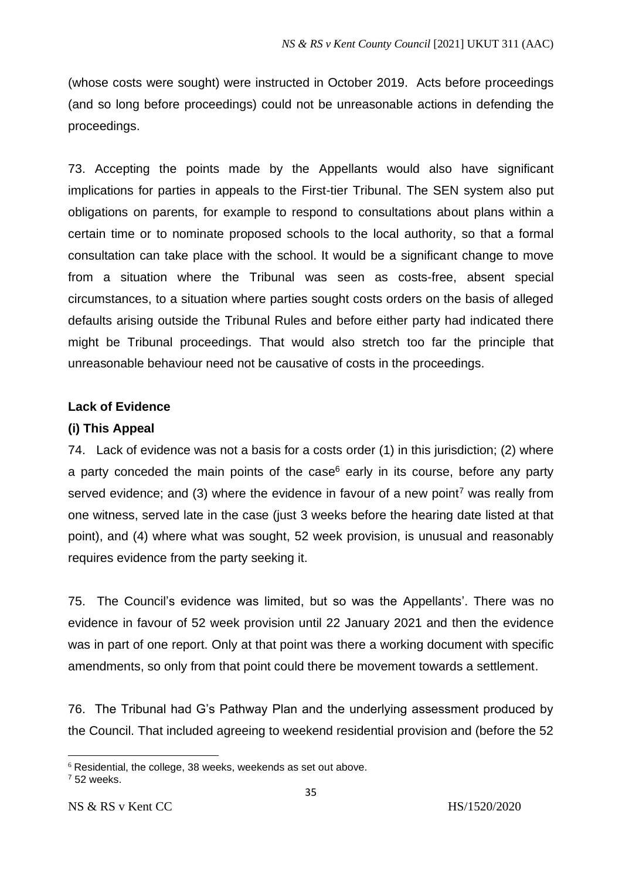(whose costs were sought) were instructed in October 2019. Acts before proceedings (and so long before proceedings) could not be unreasonable actions in defending the proceedings.

73. Accepting the points made by the Appellants would also have significant implications for parties in appeals to the First-tier Tribunal. The SEN system also put obligations on parents, for example to respond to consultations about plans within a certain time or to nominate proposed schools to the local authority, so that a formal consultation can take place with the school. It would be a significant change to move from a situation where the Tribunal was seen as costs-free, absent special circumstances, to a situation where parties sought costs orders on the basis of alleged defaults arising outside the Tribunal Rules and before either party had indicated there might be Tribunal proceedings. That would also stretch too far the principle that unreasonable behaviour need not be causative of costs in the proceedings.

# **Lack of Evidence**

## **(i) This Appeal**

74. Lack of evidence was not a basis for a costs order (1) in this jurisdiction; (2) where a party conceded the main points of the case $6$  early in its course, before any party served evidence; and (3) where the evidence in favour of a new point<sup>7</sup> was really from one witness, served late in the case (just 3 weeks before the hearing date listed at that point), and (4) where what was sought, 52 week provision, is unusual and reasonably requires evidence from the party seeking it.

75. The Council's evidence was limited, but so was the Appellants'. There was no evidence in favour of 52 week provision until 22 January 2021 and then the evidence was in part of one report. Only at that point was there a working document with specific amendments, so only from that point could there be movement towards a settlement.

76. The Tribunal had G's Pathway Plan and the underlying assessment produced by the Council. That included agreeing to weekend residential provision and (before the 52

 $6$  Residential, the college, 38 weeks, weekends as set out above.

 $752$  weeks.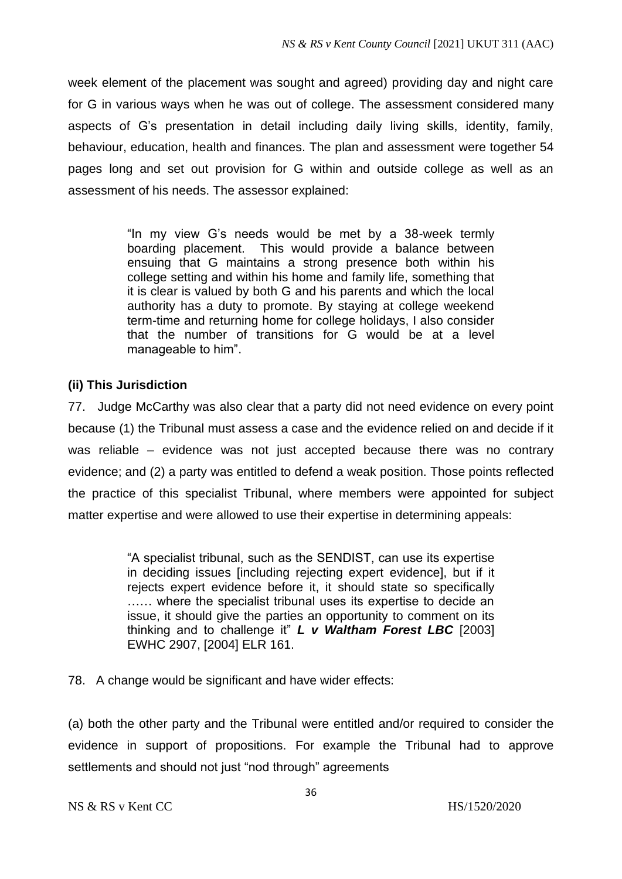week element of the placement was sought and agreed) providing day and night care for G in various ways when he was out of college. The assessment considered many aspects of G's presentation in detail including daily living skills, identity, family, behaviour, education, health and finances. The plan and assessment were together 54 pages long and set out provision for G within and outside college as well as an assessment of his needs. The assessor explained:

> "In my view G's needs would be met by a 38-week termly boarding placement. This would provide a balance between ensuing that G maintains a strong presence both within his college setting and within his home and family life, something that it is clear is valued by both G and his parents and which the local authority has a duty to promote. By staying at college weekend term-time and returning home for college holidays, I also consider that the number of transitions for G would be at a level manageable to him".

# **(ii) This Jurisdiction**

77. Judge McCarthy was also clear that a party did not need evidence on every point because (1) the Tribunal must assess a case and the evidence relied on and decide if it was reliable – evidence was not just accepted because there was no contrary evidence; and (2) a party was entitled to defend a weak position. Those points reflected the practice of this specialist Tribunal, where members were appointed for subject matter expertise and were allowed to use their expertise in determining appeals:

> "A specialist tribunal, such as the SENDIST, can use its expertise in deciding issues [including rejecting expert evidence], but if it rejects expert evidence before it, it should state so specifically …… where the specialist tribunal uses its expertise to decide an issue, it should give the parties an opportunity to comment on its thinking and to challenge it" *L v Waltham Forest LBC* [2003] EWHC 2907, [2004] ELR 161.

78. A change would be significant and have wider effects:

(a) both the other party and the Tribunal were entitled and/or required to consider the evidence in support of propositions. For example the Tribunal had to approve settlements and should not just "nod through" agreements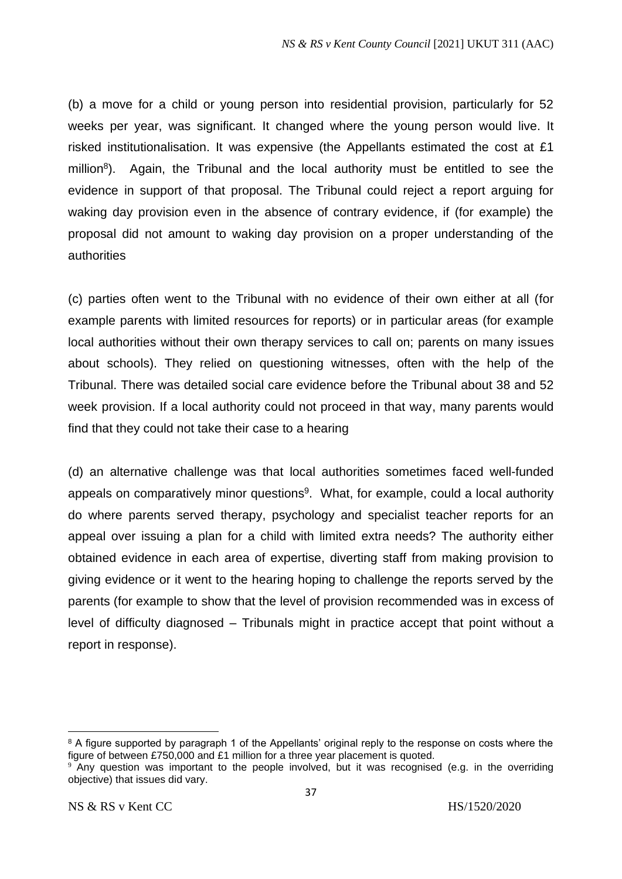(b) a move for a child or young person into residential provision, particularly for 52 weeks per year, was significant. It changed where the young person would live. It risked institutionalisation. It was expensive (the Appellants estimated the cost at £1 million<sup>8</sup>). Again, the Tribunal and the local authority must be entitled to see the evidence in support of that proposal. The Tribunal could reject a report arguing for waking day provision even in the absence of contrary evidence, if (for example) the proposal did not amount to waking day provision on a proper understanding of the authorities

(c) parties often went to the Tribunal with no evidence of their own either at all (for example parents with limited resources for reports) or in particular areas (for example local authorities without their own therapy services to call on; parents on many issues about schools). They relied on questioning witnesses, often with the help of the Tribunal. There was detailed social care evidence before the Tribunal about 38 and 52 week provision. If a local authority could not proceed in that way, many parents would find that they could not take their case to a hearing

(d) an alternative challenge was that local authorities sometimes faced well-funded appeals on comparatively minor questions<sup>9</sup>. What, for example, could a local authority do where parents served therapy, psychology and specialist teacher reports for an appeal over issuing a plan for a child with limited extra needs? The authority either obtained evidence in each area of expertise, diverting staff from making provision to giving evidence or it went to the hearing hoping to challenge the reports served by the parents (for example to show that the level of provision recommended was in excess of level of difficulty diagnosed – Tribunals might in practice accept that point without a report in response).

<sup>&</sup>lt;sup>8</sup> A figure supported by paragraph 1 of the Appellants' original reply to the response on costs where the figure of between £750,000 and £1 million for a three year placement is quoted.

<sup>9</sup> Any question was important to the people involved, but it was recognised (e.g. in the overriding objective) that issues did vary.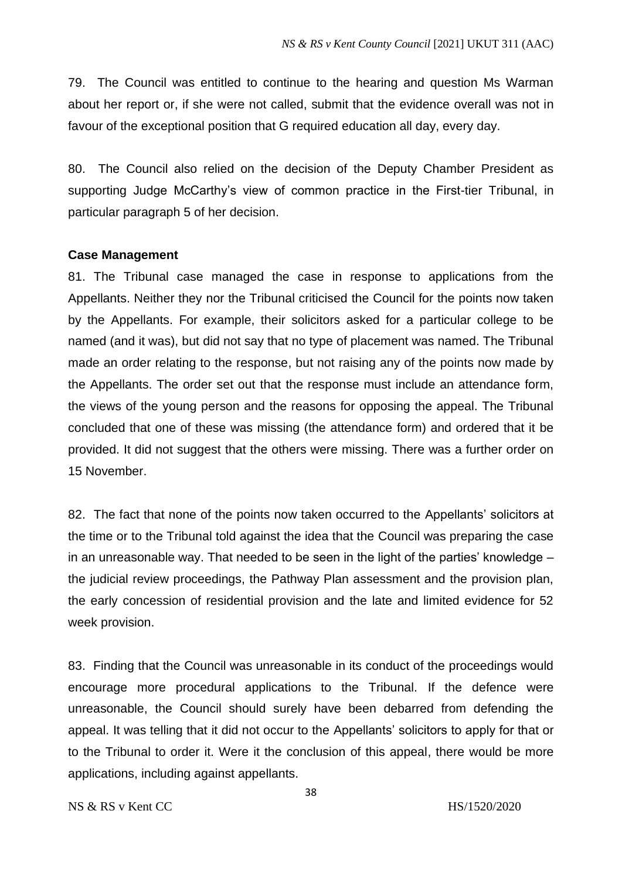79. The Council was entitled to continue to the hearing and question Ms Warman about her report or, if she were not called, submit that the evidence overall was not in favour of the exceptional position that G required education all day, every day.

80. The Council also relied on the decision of the Deputy Chamber President as supporting Judge McCarthy's view of common practice in the First-tier Tribunal, in particular paragraph 5 of her decision.

## **Case Management**

81. The Tribunal case managed the case in response to applications from the Appellants. Neither they nor the Tribunal criticised the Council for the points now taken by the Appellants. For example, their solicitors asked for a particular college to be named (and it was), but did not say that no type of placement was named. The Tribunal made an order relating to the response, but not raising any of the points now made by the Appellants. The order set out that the response must include an attendance form, the views of the young person and the reasons for opposing the appeal. The Tribunal concluded that one of these was missing (the attendance form) and ordered that it be provided. It did not suggest that the others were missing. There was a further order on 15 November.

82. The fact that none of the points now taken occurred to the Appellants' solicitors at the time or to the Tribunal told against the idea that the Council was preparing the case in an unreasonable way. That needed to be seen in the light of the parties' knowledge – the judicial review proceedings, the Pathway Plan assessment and the provision plan, the early concession of residential provision and the late and limited evidence for 52 week provision.

83. Finding that the Council was unreasonable in its conduct of the proceedings would encourage more procedural applications to the Tribunal. If the defence were unreasonable, the Council should surely have been debarred from defending the appeal. It was telling that it did not occur to the Appellants' solicitors to apply for that or to the Tribunal to order it. Were it the conclusion of this appeal, there would be more applications, including against appellants.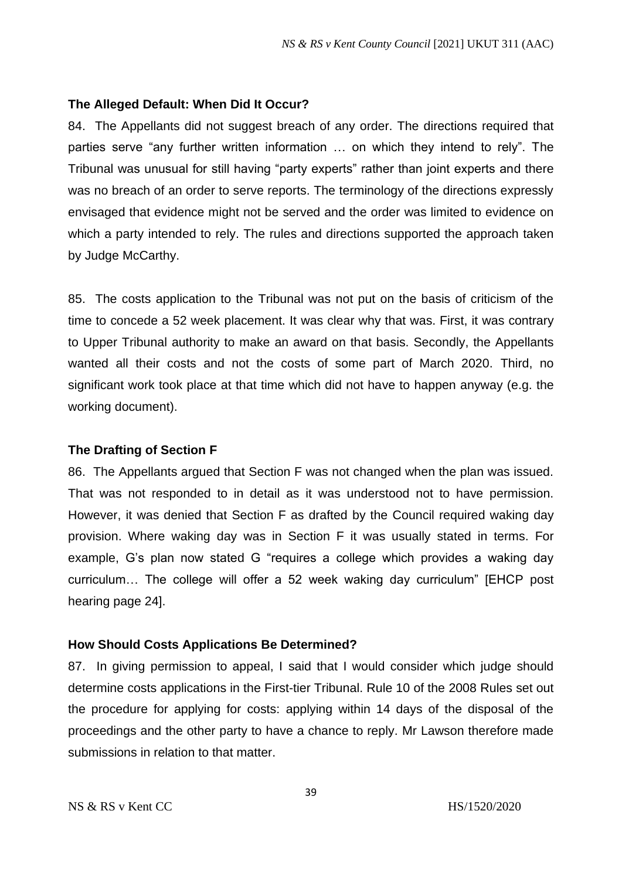### **The Alleged Default: When Did It Occur?**

84. The Appellants did not suggest breach of any order. The directions required that parties serve "any further written information … on which they intend to rely". The Tribunal was unusual for still having "party experts" rather than joint experts and there was no breach of an order to serve reports. The terminology of the directions expressly envisaged that evidence might not be served and the order was limited to evidence on which a party intended to rely. The rules and directions supported the approach taken by Judge McCarthy.

85. The costs application to the Tribunal was not put on the basis of criticism of the time to concede a 52 week placement. It was clear why that was. First, it was contrary to Upper Tribunal authority to make an award on that basis. Secondly, the Appellants wanted all their costs and not the costs of some part of March 2020. Third, no significant work took place at that time which did not have to happen anyway (e.g. the working document).

#### **The Drafting of Section F**

86. The Appellants argued that Section F was not changed when the plan was issued. That was not responded to in detail as it was understood not to have permission. However, it was denied that Section F as drafted by the Council required waking day provision. Where waking day was in Section F it was usually stated in terms. For example, G's plan now stated G "requires a college which provides a waking day curriculum… The college will offer a 52 week waking day curriculum" [EHCP post hearing page 24].

### **How Should Costs Applications Be Determined?**

87. In giving permission to appeal, I said that I would consider which judge should determine costs applications in the First-tier Tribunal. Rule 10 of the 2008 Rules set out the procedure for applying for costs: applying within 14 days of the disposal of the proceedings and the other party to have a chance to reply. Mr Lawson therefore made submissions in relation to that matter.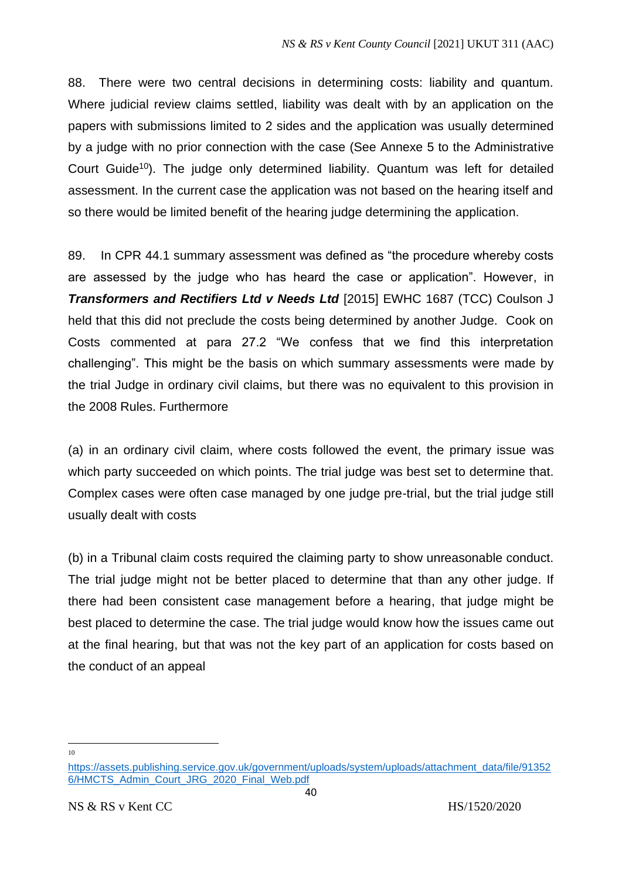88. There were two central decisions in determining costs: liability and quantum. Where judicial review claims settled, liability was dealt with by an application on the papers with submissions limited to 2 sides and the application was usually determined by a judge with no prior connection with the case (See Annexe 5 to the Administrative Court Guide<sup>10</sup>). The judge only determined liability. Quantum was left for detailed assessment. In the current case the application was not based on the hearing itself and so there would be limited benefit of the hearing judge determining the application.

89. In CPR 44.1 summary assessment was defined as "the procedure whereby costs are assessed by the judge who has heard the case or application". However, in *Transformers and Rectifiers Ltd v Needs Ltd* [2015] EWHC 1687 (TCC) Coulson J held that this did not preclude the costs being determined by another Judge. Cook on Costs commented at para 27.2 "We confess that we find this interpretation challenging". This might be the basis on which summary assessments were made by the trial Judge in ordinary civil claims, but there was no equivalent to this provision in the 2008 Rules. Furthermore

(a) in an ordinary civil claim, where costs followed the event, the primary issue was which party succeeded on which points. The trial judge was best set to determine that. Complex cases were often case managed by one judge pre-trial, but the trial judge still usually dealt with costs

(b) in a Tribunal claim costs required the claiming party to show unreasonable conduct. The trial judge might not be better placed to determine that than any other judge. If there had been consistent case management before a hearing, that judge might be best placed to determine the case. The trial judge would know how the issues came out at the final hearing, but that was not the key part of an application for costs based on the conduct of an appeal

10

[https://assets.publishing.service.gov.uk/government/uploads/system/uploads/attachment\\_data/file/91352](https://assets.publishing.service.gov.uk/government/uploads/system/uploads/attachment_data/file/913526/HMCTS_Admin_Court_JRG_2020_Final_Web.pdf) 6/HMCTS Admin\_Court\_JRG\_2020\_Final\_Web.pdf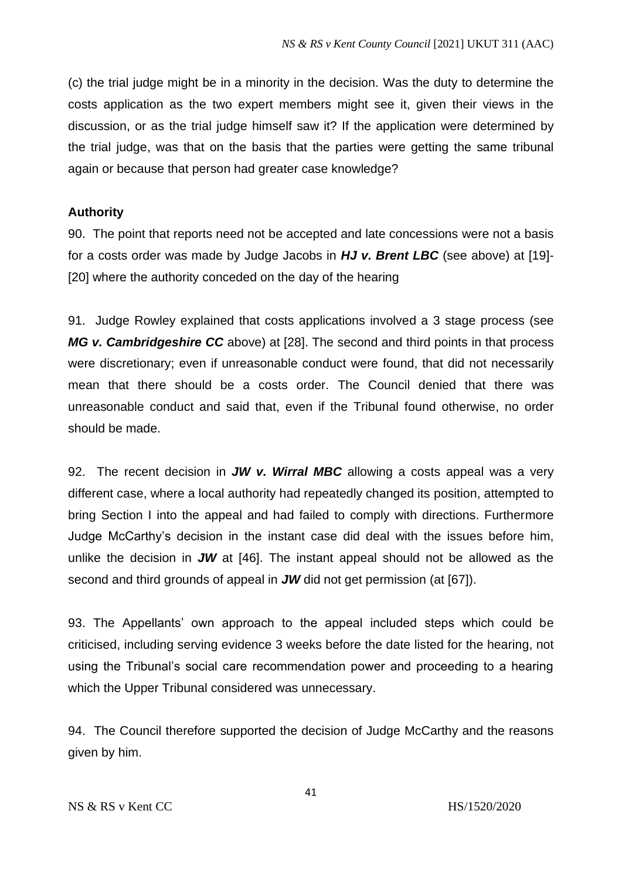(c) the trial judge might be in a minority in the decision. Was the duty to determine the costs application as the two expert members might see it, given their views in the discussion, or as the trial judge himself saw it? If the application were determined by the trial judge, was that on the basis that the parties were getting the same tribunal again or because that person had greater case knowledge?

# **Authority**

90. The point that reports need not be accepted and late concessions were not a basis for a costs order was made by Judge Jacobs in *HJ v. Brent LBC* (see above) at [19]- [20] where the authority conceded on the day of the hearing

91. Judge Rowley explained that costs applications involved a 3 stage process (see *MG v. Cambridgeshire CC* above) at [28]. The second and third points in that process were discretionary; even if unreasonable conduct were found, that did not necessarily mean that there should be a costs order. The Council denied that there was unreasonable conduct and said that, even if the Tribunal found otherwise, no order should be made.

92. The recent decision in *JW v. Wirral MBC* allowing a costs appeal was a very different case, where a local authority had repeatedly changed its position, attempted to bring Section I into the appeal and had failed to comply with directions. Furthermore Judge McCarthy's decision in the instant case did deal with the issues before him, unlike the decision in *JW* at [46]. The instant appeal should not be allowed as the second and third grounds of appeal in *JW* did not get permission (at [67]).

93. The Appellants' own approach to the appeal included steps which could be criticised, including serving evidence 3 weeks before the date listed for the hearing, not using the Tribunal's social care recommendation power and proceeding to a hearing which the Upper Tribunal considered was unnecessary.

94. The Council therefore supported the decision of Judge McCarthy and the reasons given by him.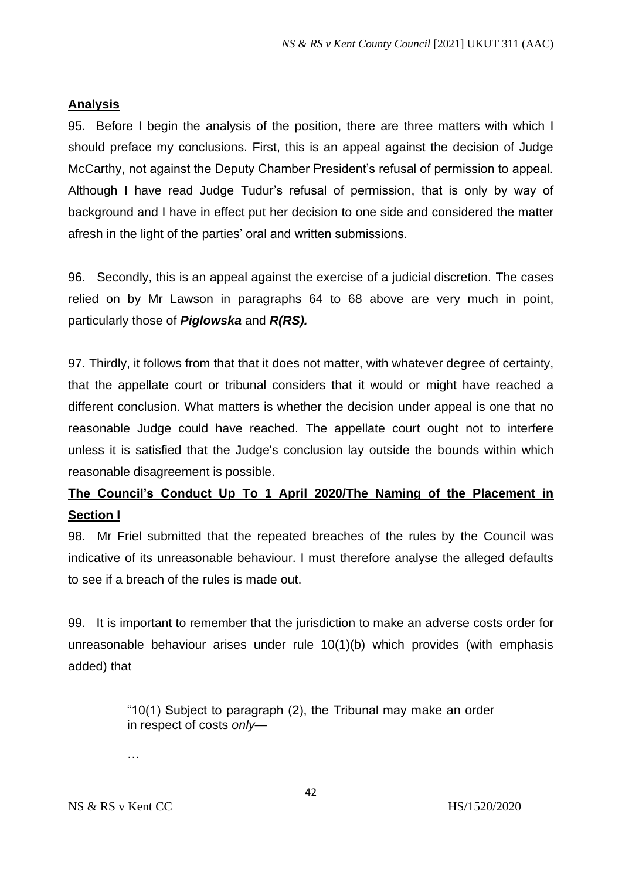# **Analysis**

95. Before I begin the analysis of the position, there are three matters with which I should preface my conclusions. First, this is an appeal against the decision of Judge McCarthy, not against the Deputy Chamber President's refusal of permission to appeal. Although I have read Judge Tudur's refusal of permission, that is only by way of background and I have in effect put her decision to one side and considered the matter afresh in the light of the parties' oral and written submissions.

96. Secondly, this is an appeal against the exercise of a judicial discretion. The cases relied on by Mr Lawson in paragraphs 64 to 68 above are very much in point, particularly those of *Piglowska* and *R(RS).*

97. Thirdly, it follows from that that it does not matter, with whatever degree of certainty, that the appellate court or tribunal considers that it would or might have reached a different conclusion. What matters is whether the decision under appeal is one that no reasonable Judge could have reached. The appellate court ought not to interfere unless it is satisfied that the Judge's conclusion lay outside the bounds within which reasonable disagreement is possible.

# **The Council's Conduct Up To 1 April 2020/The Naming of the Placement in Section I**

98. Mr Friel submitted that the repeated breaches of the rules by the Council was indicative of its unreasonable behaviour. I must therefore analyse the alleged defaults to see if a breach of the rules is made out.

99. It is important to remember that the jurisdiction to make an adverse costs order for unreasonable behaviour arises under rule 10(1)(b) which provides (with emphasis added) that

> "10(1) Subject to paragraph (2), the Tribunal may make an order in respect of costs *only*—

…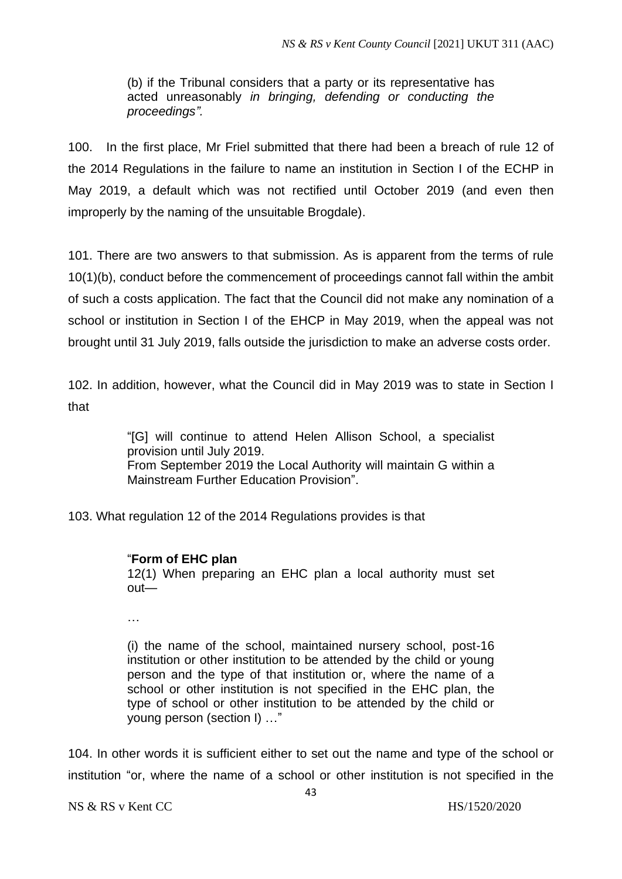(b) if the Tribunal considers that a party or its representative has acted unreasonably *in bringing, defending or conducting the proceedings".*

100. In the first place, Mr Friel submitted that there had been a breach of rule 12 of the 2014 Regulations in the failure to name an institution in Section I of the ECHP in May 2019, a default which was not rectified until October 2019 (and even then improperly by the naming of the unsuitable Brogdale).

101. There are two answers to that submission. As is apparent from the terms of rule 10(1)(b), conduct before the commencement of proceedings cannot fall within the ambit of such a costs application. The fact that the Council did not make any nomination of a school or institution in Section I of the EHCP in May 2019, when the appeal was not brought until 31 July 2019, falls outside the jurisdiction to make an adverse costs order.

102. In addition, however, what the Council did in May 2019 was to state in Section I that

> "[G] will continue to attend Helen Allison School, a specialist provision until July 2019. From September 2019 the Local Authority will maintain G within a Mainstream Further Education Provision".

103. What regulation 12 of the 2014 Regulations provides is that

### "**Form of EHC plan**

12(1) When preparing an EHC plan a local authority must set out—

…

(i) the name of the school, maintained nursery school, post-16 institution or other institution to be attended by the child or young person and the type of that institution or, where the name of a school or other institution is not specified in the EHC plan, the type of school or other institution to be attended by the child or young person (section I) …"

104. In other words it is sufficient either to set out the name and type of the school or institution "or, where the name of a school or other institution is not specified in the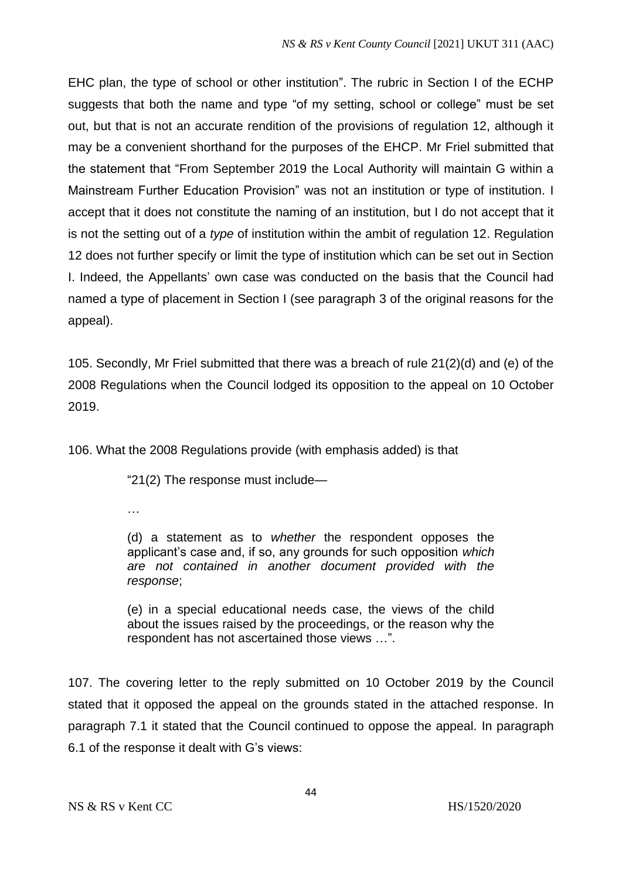EHC plan, the type of school or other institution". The rubric in Section I of the ECHP suggests that both the name and type "of my setting, school or college" must be set out, but that is not an accurate rendition of the provisions of regulation 12, although it may be a convenient shorthand for the purposes of the EHCP. Mr Friel submitted that the statement that "From September 2019 the Local Authority will maintain G within a Mainstream Further Education Provision" was not an institution or type of institution. I accept that it does not constitute the naming of an institution, but I do not accept that it is not the setting out of a *type* of institution within the ambit of regulation 12. Regulation 12 does not further specify or limit the type of institution which can be set out in Section I. Indeed, the Appellants' own case was conducted on the basis that the Council had named a type of placement in Section I (see paragraph 3 of the original reasons for the appeal).

105. Secondly, Mr Friel submitted that there was a breach of rule 21(2)(d) and (e) of the 2008 Regulations when the Council lodged its opposition to the appeal on 10 October 2019.

106. What the 2008 Regulations provide (with emphasis added) is that

"21(2) The response must include—

…

(d) a statement as to *whether* the respondent opposes the applicant's case and, if so, any grounds for such opposition *which are not contained in another document provided with the response*;

(e) in a special educational needs case, the views of the child about the issues raised by the proceedings, or the reason why the respondent has not ascertained those views …".

107. The covering letter to the reply submitted on 10 October 2019 by the Council stated that it opposed the appeal on the grounds stated in the attached response. In paragraph 7.1 it stated that the Council continued to oppose the appeal. In paragraph 6.1 of the response it dealt with G's views: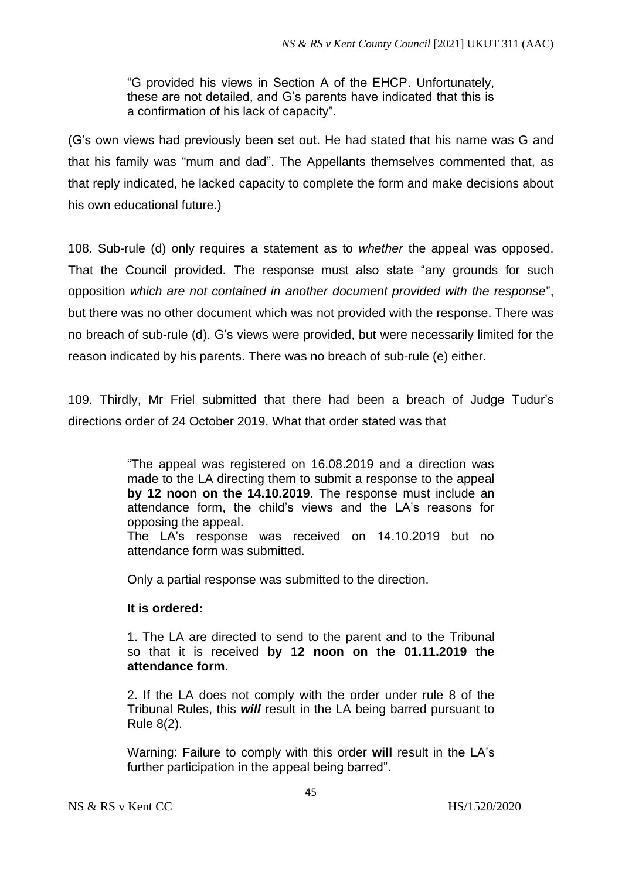"G provided his views in Section A of the EHCP. Unfortunately, these are not detailed, and G's parents have indicated that this is a confirmation of his lack of capacity".

(G's own views had previously been set out. He had stated that his name was G and that his family was "mum and dad". The Appellants themselves commented that, as that reply indicated, he lacked capacity to complete the form and make decisions about his own educational future.)

108. Sub-rule (d) only requires a statement as to *whether* the appeal was opposed. That the Council provided. The response must also state "any grounds for such opposition *which are not contained in another document provided with the response*", but there was no other document which was not provided with the response. There was no breach of sub-rule (d). G's views were provided, but were necessarily limited for the reason indicated by his parents. There was no breach of sub-rule (e) either.

109. Thirdly, Mr Friel submitted that there had been a breach of Judge Tudur's directions order of 24 October 2019. What that order stated was that

> "The appeal was registered on 16.08.2019 and a direction was made to the LA directing them to submit a response to the appeal **by 12 noon on the 14.10.2019**. The response must include an attendance form, the child's views and the LA's reasons for opposing the appeal.

> The LA's response was received on 14.10.2019 but no attendance form was submitted.

Only a partial response was submitted to the direction.

# **It is ordered:**

1. The LA are directed to send to the parent and to the Tribunal so that it is received **by 12 noon on the 01.11.2019 the attendance form.**

2. If the LA does not comply with the order under rule 8 of the Tribunal Rules, this *will* result in the LA being barred pursuant to Rule 8(2).

Warning: Failure to comply with this order **will** result in the LA's further participation in the appeal being barred".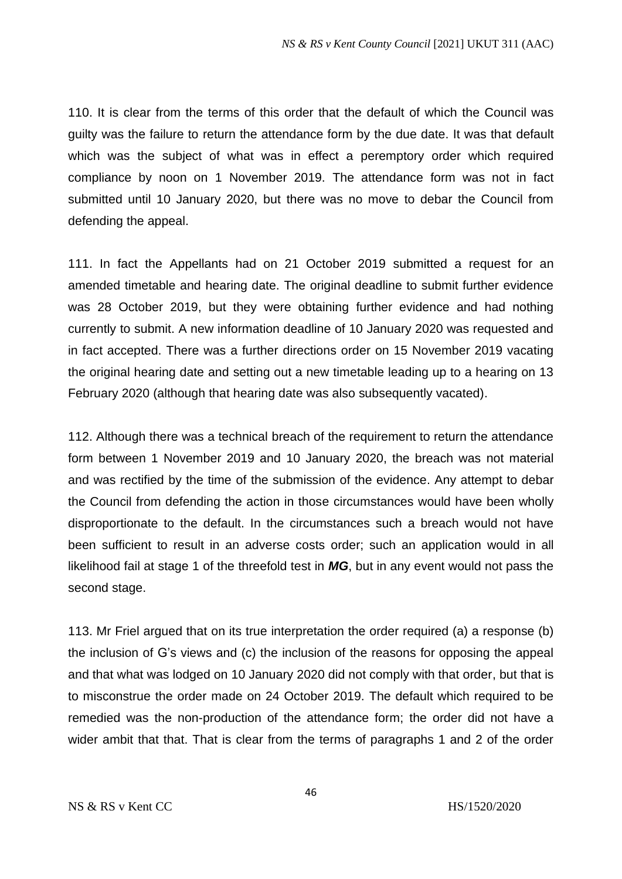110. It is clear from the terms of this order that the default of which the Council was guilty was the failure to return the attendance form by the due date. It was that default which was the subject of what was in effect a peremptory order which required compliance by noon on 1 November 2019. The attendance form was not in fact submitted until 10 January 2020, but there was no move to debar the Council from defending the appeal.

111. In fact the Appellants had on 21 October 2019 submitted a request for an amended timetable and hearing date. The original deadline to submit further evidence was 28 October 2019, but they were obtaining further evidence and had nothing currently to submit. A new information deadline of 10 January 2020 was requested and in fact accepted. There was a further directions order on 15 November 2019 vacating the original hearing date and setting out a new timetable leading up to a hearing on 13 February 2020 (although that hearing date was also subsequently vacated).

112. Although there was a technical breach of the requirement to return the attendance form between 1 November 2019 and 10 January 2020, the breach was not material and was rectified by the time of the submission of the evidence. Any attempt to debar the Council from defending the action in those circumstances would have been wholly disproportionate to the default. In the circumstances such a breach would not have been sufficient to result in an adverse costs order; such an application would in all likelihood fail at stage 1 of the threefold test in *MG*, but in any event would not pass the second stage.

113. Mr Friel argued that on its true interpretation the order required (a) a response (b) the inclusion of G's views and (c) the inclusion of the reasons for opposing the appeal and that what was lodged on 10 January 2020 did not comply with that order, but that is to misconstrue the order made on 24 October 2019. The default which required to be remedied was the non-production of the attendance form; the order did not have a wider ambit that that. That is clear from the terms of paragraphs 1 and 2 of the order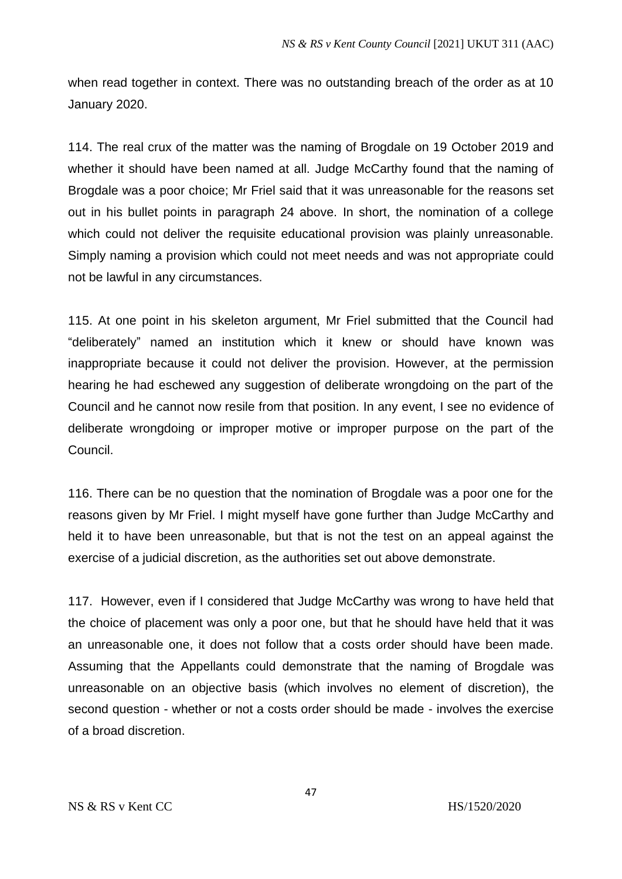when read together in context. There was no outstanding breach of the order as at 10 January 2020.

114. The real crux of the matter was the naming of Brogdale on 19 October 2019 and whether it should have been named at all. Judge McCarthy found that the naming of Brogdale was a poor choice; Mr Friel said that it was unreasonable for the reasons set out in his bullet points in paragraph 24 above. In short, the nomination of a college which could not deliver the requisite educational provision was plainly unreasonable. Simply naming a provision which could not meet needs and was not appropriate could not be lawful in any circumstances.

115. At one point in his skeleton argument, Mr Friel submitted that the Council had "deliberately" named an institution which it knew or should have known was inappropriate because it could not deliver the provision. However, at the permission hearing he had eschewed any suggestion of deliberate wrongdoing on the part of the Council and he cannot now resile from that position. In any event, I see no evidence of deliberate wrongdoing or improper motive or improper purpose on the part of the Council.

116. There can be no question that the nomination of Brogdale was a poor one for the reasons given by Mr Friel. I might myself have gone further than Judge McCarthy and held it to have been unreasonable, but that is not the test on an appeal against the exercise of a judicial discretion, as the authorities set out above demonstrate.

117. However, even if I considered that Judge McCarthy was wrong to have held that the choice of placement was only a poor one, but that he should have held that it was an unreasonable one, it does not follow that a costs order should have been made. Assuming that the Appellants could demonstrate that the naming of Brogdale was unreasonable on an objective basis (which involves no element of discretion), the second question - whether or not a costs order should be made - involves the exercise of a broad discretion.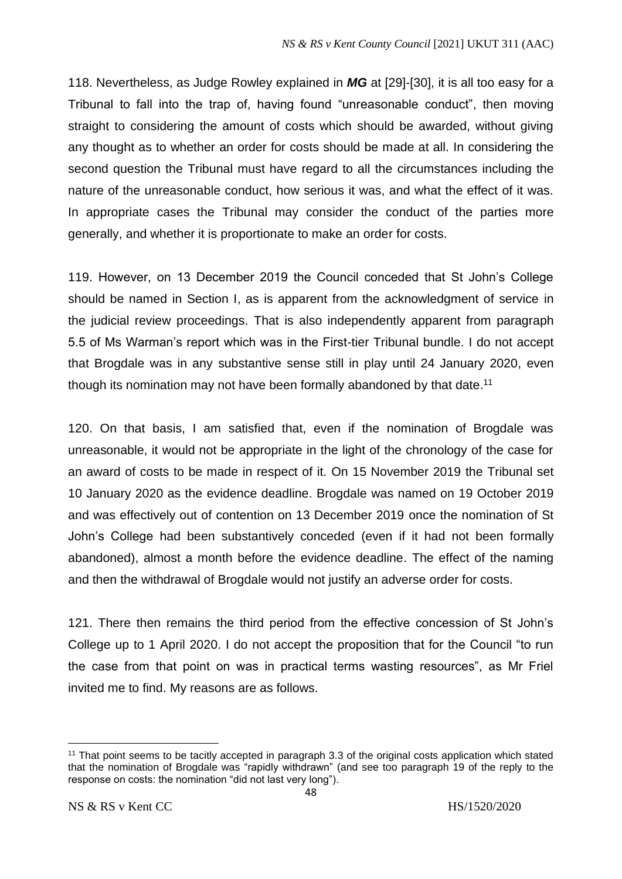118. Nevertheless, as Judge Rowley explained in *MG* at [29]-[30], it is all too easy for a Tribunal to fall into the trap of, having found "unreasonable conduct", then moving straight to considering the amount of costs which should be awarded, without giving any thought as to whether an order for costs should be made at all. In considering the second question the Tribunal must have regard to all the circumstances including the nature of the unreasonable conduct, how serious it was, and what the effect of it was. In appropriate cases the Tribunal may consider the conduct of the parties more generally, and whether it is proportionate to make an order for costs.

119. However, on 13 December 2019 the Council conceded that St John's College should be named in Section I, as is apparent from the acknowledgment of service in the judicial review proceedings. That is also independently apparent from paragraph 5.5 of Ms Warman's report which was in the First-tier Tribunal bundle. I do not accept that Brogdale was in any substantive sense still in play until 24 January 2020, even though its nomination may not have been formally abandoned by that date.<sup>11</sup>

120. On that basis, I am satisfied that, even if the nomination of Brogdale was unreasonable, it would not be appropriate in the light of the chronology of the case for an award of costs to be made in respect of it. On 15 November 2019 the Tribunal set 10 January 2020 as the evidence deadline. Brogdale was named on 19 October 2019 and was effectively out of contention on 13 December 2019 once the nomination of St John's College had been substantively conceded (even if it had not been formally abandoned), almost a month before the evidence deadline. The effect of the naming and then the withdrawal of Brogdale would not justify an adverse order for costs.

121. There then remains the third period from the effective concession of St John's College up to 1 April 2020. I do not accept the proposition that for the Council "to run the case from that point on was in practical terms wasting resources", as Mr Friel invited me to find. My reasons are as follows.

<sup>11</sup> That point seems to be tacitly accepted in paragraph 3.3 of the original costs application which stated that the nomination of Brogdale was "rapidly withdrawn" (and see too paragraph 19 of the reply to the response on costs: the nomination "did not last very long").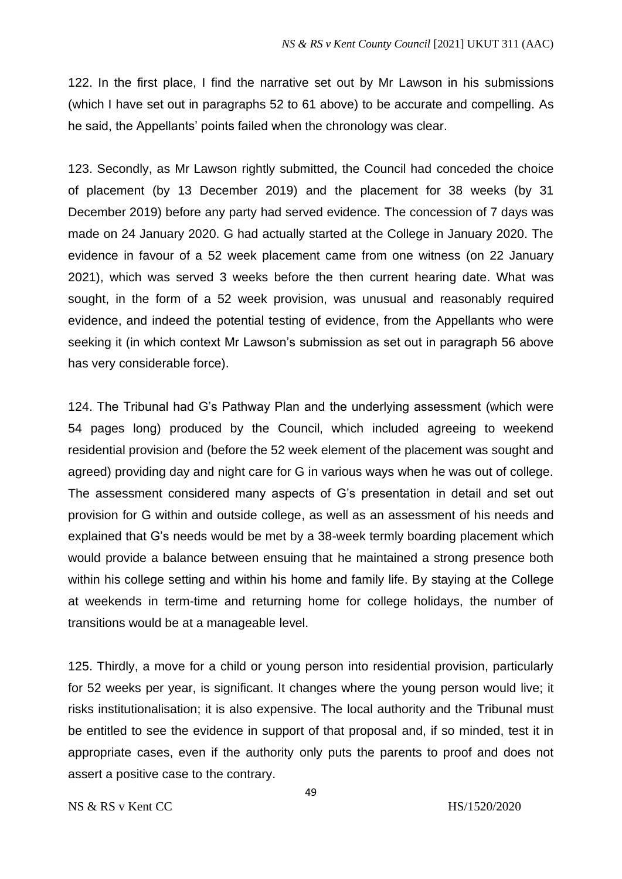122. In the first place, I find the narrative set out by Mr Lawson in his submissions (which I have set out in paragraphs 52 to 61 above) to be accurate and compelling. As he said, the Appellants' points failed when the chronology was clear.

123. Secondly, as Mr Lawson rightly submitted, the Council had conceded the choice of placement (by 13 December 2019) and the placement for 38 weeks (by 31 December 2019) before any party had served evidence. The concession of 7 days was made on 24 January 2020. G had actually started at the College in January 2020. The evidence in favour of a 52 week placement came from one witness (on 22 January 2021), which was served 3 weeks before the then current hearing date. What was sought, in the form of a 52 week provision, was unusual and reasonably required evidence, and indeed the potential testing of evidence, from the Appellants who were seeking it (in which context Mr Lawson's submission as set out in paragraph 56 above has very considerable force).

124. The Tribunal had G's Pathway Plan and the underlying assessment (which were 54 pages long) produced by the Council, which included agreeing to weekend residential provision and (before the 52 week element of the placement was sought and agreed) providing day and night care for G in various ways when he was out of college. The assessment considered many aspects of G's presentation in detail and set out provision for G within and outside college, as well as an assessment of his needs and explained that G's needs would be met by a 38-week termly boarding placement which would provide a balance between ensuing that he maintained a strong presence both within his college setting and within his home and family life. By staying at the College at weekends in term-time and returning home for college holidays, the number of transitions would be at a manageable level.

125. Thirdly, a move for a child or young person into residential provision, particularly for 52 weeks per year, is significant. It changes where the young person would live; it risks institutionalisation; it is also expensive. The local authority and the Tribunal must be entitled to see the evidence in support of that proposal and, if so minded, test it in appropriate cases, even if the authority only puts the parents to proof and does not assert a positive case to the contrary.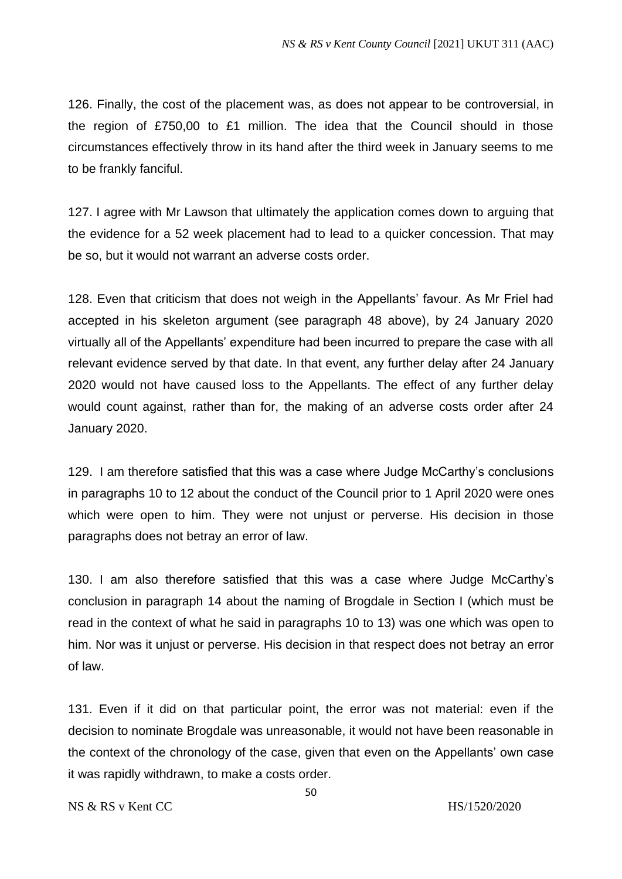126. Finally, the cost of the placement was, as does not appear to be controversial, in the region of £750,00 to £1 million. The idea that the Council should in those circumstances effectively throw in its hand after the third week in January seems to me to be frankly fanciful.

127. I agree with Mr Lawson that ultimately the application comes down to arguing that the evidence for a 52 week placement had to lead to a quicker concession. That may be so, but it would not warrant an adverse costs order.

128. Even that criticism that does not weigh in the Appellants' favour. As Mr Friel had accepted in his skeleton argument (see paragraph 48 above), by 24 January 2020 virtually all of the Appellants' expenditure had been incurred to prepare the case with all relevant evidence served by that date. In that event, any further delay after 24 January 2020 would not have caused loss to the Appellants. The effect of any further delay would count against, rather than for, the making of an adverse costs order after 24 January 2020.

129. I am therefore satisfied that this was a case where Judge McCarthy's conclusions in paragraphs 10 to 12 about the conduct of the Council prior to 1 April 2020 were ones which were open to him. They were not unjust or perverse. His decision in those paragraphs does not betray an error of law.

130. I am also therefore satisfied that this was a case where Judge McCarthy's conclusion in paragraph 14 about the naming of Brogdale in Section I (which must be read in the context of what he said in paragraphs 10 to 13) was one which was open to him. Nor was it unjust or perverse. His decision in that respect does not betray an error of law.

131. Even if it did on that particular point, the error was not material: even if the decision to nominate Brogdale was unreasonable, it would not have been reasonable in the context of the chronology of the case, given that even on the Appellants' own case it was rapidly withdrawn, to make a costs order.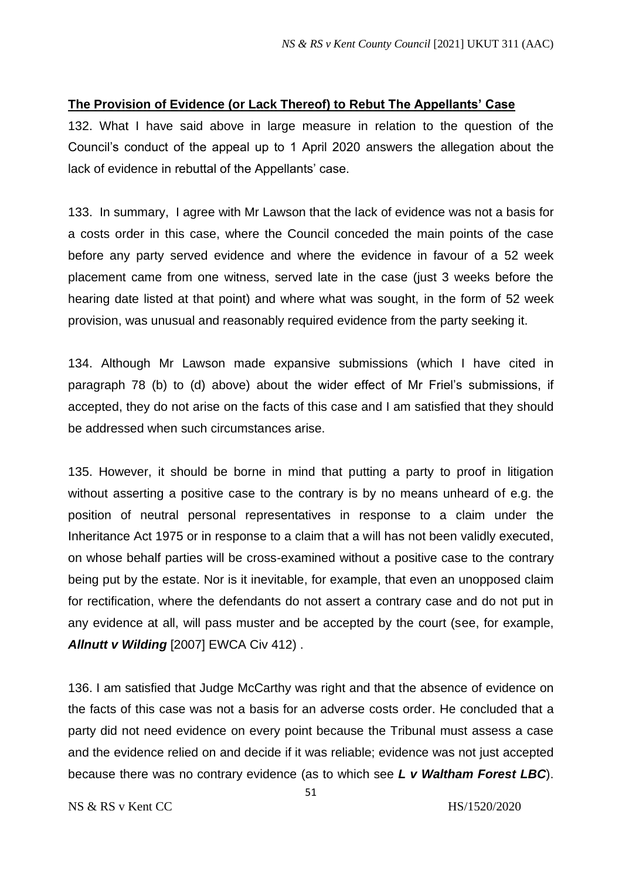### **The Provision of Evidence (or Lack Thereof) to Rebut The Appellants' Case**

132. What I have said above in large measure in relation to the question of the Council's conduct of the appeal up to 1 April 2020 answers the allegation about the lack of evidence in rebuttal of the Appellants' case.

133. In summary, I agree with Mr Lawson that the lack of evidence was not a basis for a costs order in this case, where the Council conceded the main points of the case before any party served evidence and where the evidence in favour of a 52 week placement came from one witness, served late in the case (just 3 weeks before the hearing date listed at that point) and where what was sought, in the form of 52 week provision, was unusual and reasonably required evidence from the party seeking it.

134. Although Mr Lawson made expansive submissions (which I have cited in paragraph 78 (b) to (d) above) about the wider effect of Mr Friel's submissions, if accepted, they do not arise on the facts of this case and I am satisfied that they should be addressed when such circumstances arise.

135. However, it should be borne in mind that putting a party to proof in litigation without asserting a positive case to the contrary is by no means unheard of e.g. the position of neutral personal representatives in response to a claim under the Inheritance Act 1975 or in response to a claim that a will has not been validly executed, on whose behalf parties will be cross-examined without a positive case to the contrary being put by the estate. Nor is it inevitable, for example, that even an unopposed claim for rectification, where the defendants do not assert a contrary case and do not put in any evidence at all, will pass muster and be accepted by the court (see, for example, *Allnutt v Wilding* [2007] EWCA Civ 412) .

136. I am satisfied that Judge McCarthy was right and that the absence of evidence on the facts of this case was not a basis for an adverse costs order. He concluded that a party did not need evidence on every point because the Tribunal must assess a case and the evidence relied on and decide if it was reliable; evidence was not just accepted because there was no contrary evidence (as to which see *L v Waltham Forest LBC*).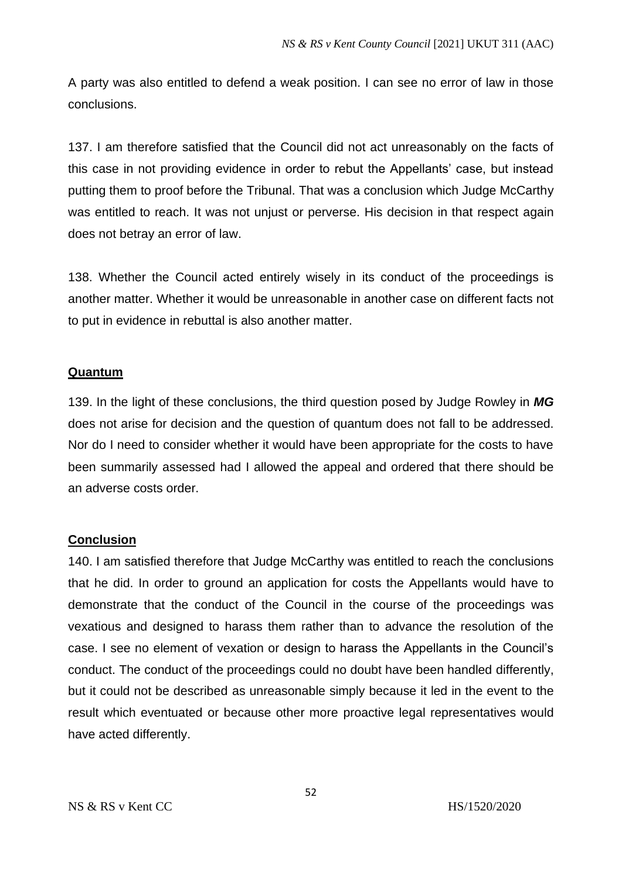A party was also entitled to defend a weak position. I can see no error of law in those conclusions.

137. I am therefore satisfied that the Council did not act unreasonably on the facts of this case in not providing evidence in order to rebut the Appellants' case, but instead putting them to proof before the Tribunal. That was a conclusion which Judge McCarthy was entitled to reach. It was not unjust or perverse. His decision in that respect again does not betray an error of law.

138. Whether the Council acted entirely wisely in its conduct of the proceedings is another matter. Whether it would be unreasonable in another case on different facts not to put in evidence in rebuttal is also another matter.

# **Quantum**

139. In the light of these conclusions, the third question posed by Judge Rowley in *MG* does not arise for decision and the question of quantum does not fall to be addressed. Nor do I need to consider whether it would have been appropriate for the costs to have been summarily assessed had I allowed the appeal and ordered that there should be an adverse costs order.

# **Conclusion**

140. I am satisfied therefore that Judge McCarthy was entitled to reach the conclusions that he did. In order to ground an application for costs the Appellants would have to demonstrate that the conduct of the Council in the course of the proceedings was vexatious and designed to harass them rather than to advance the resolution of the case. I see no element of vexation or design to harass the Appellants in the Council's conduct. The conduct of the proceedings could no doubt have been handled differently, but it could not be described as unreasonable simply because it led in the event to the result which eventuated or because other more proactive legal representatives would have acted differently.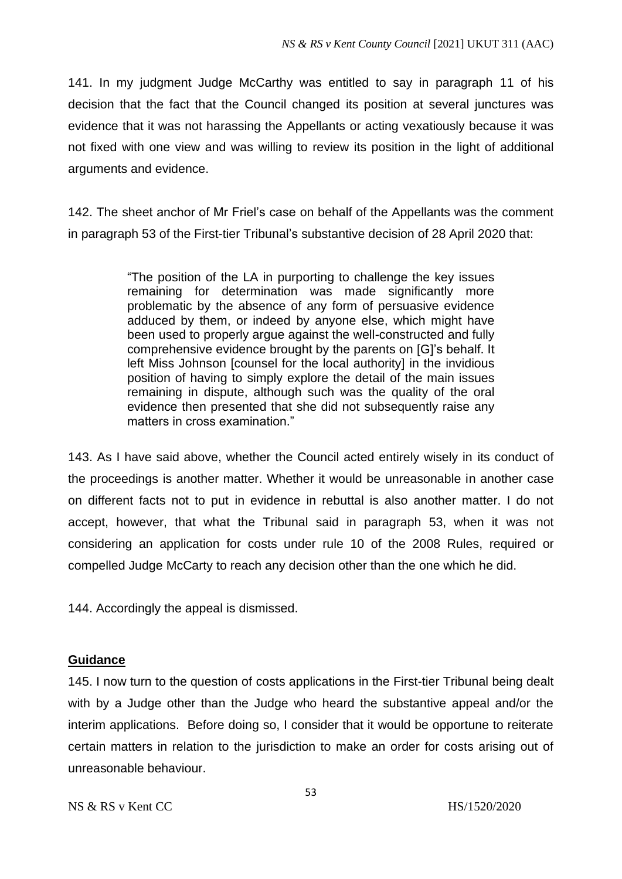141. In my judgment Judge McCarthy was entitled to say in paragraph 11 of his decision that the fact that the Council changed its position at several junctures was evidence that it was not harassing the Appellants or acting vexatiously because it was not fixed with one view and was willing to review its position in the light of additional arguments and evidence.

142. The sheet anchor of Mr Friel's case on behalf of the Appellants was the comment in paragraph 53 of the First-tier Tribunal's substantive decision of 28 April 2020 that:

> "The position of the LA in purporting to challenge the key issues remaining for determination was made significantly more problematic by the absence of any form of persuasive evidence adduced by them, or indeed by anyone else, which might have been used to properly argue against the well-constructed and fully comprehensive evidence brought by the parents on [G]'s behalf. It left Miss Johnson [counsel for the local authority] in the invidious position of having to simply explore the detail of the main issues remaining in dispute, although such was the quality of the oral evidence then presented that she did not subsequently raise any matters in cross examination."

143. As I have said above, whether the Council acted entirely wisely in its conduct of the proceedings is another matter. Whether it would be unreasonable in another case on different facts not to put in evidence in rebuttal is also another matter. I do not accept, however, that what the Tribunal said in paragraph 53, when it was not considering an application for costs under rule 10 of the 2008 Rules, required or compelled Judge McCarty to reach any decision other than the one which he did.

144. Accordingly the appeal is dismissed.

# **Guidance**

145. I now turn to the question of costs applications in the First-tier Tribunal being dealt with by a Judge other than the Judge who heard the substantive appeal and/or the interim applications. Before doing so, I consider that it would be opportune to reiterate certain matters in relation to the jurisdiction to make an order for costs arising out of unreasonable behaviour.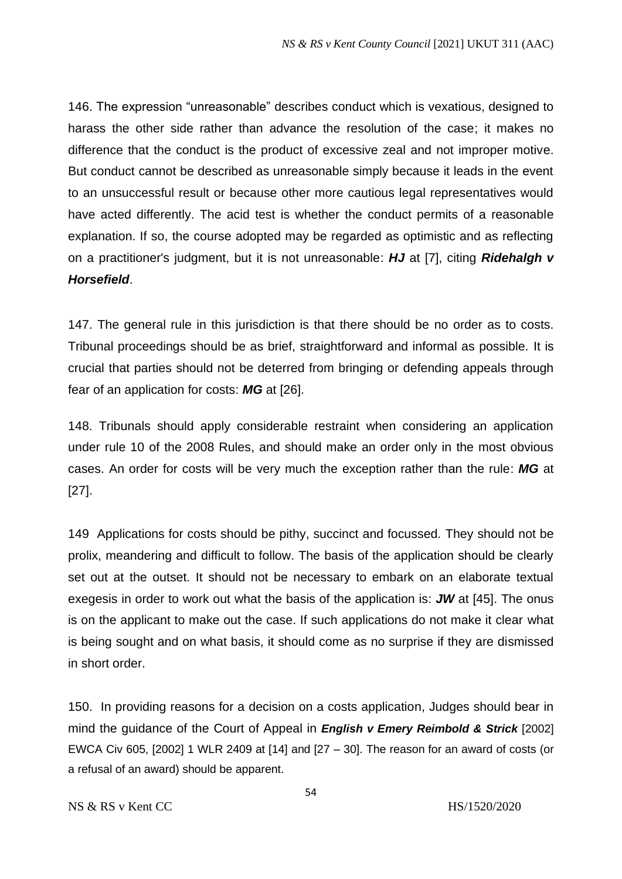146. The expression "unreasonable" describes conduct which is vexatious, designed to harass the other side rather than advance the resolution of the case; it makes no difference that the conduct is the product of excessive zeal and not improper motive. But conduct cannot be described as unreasonable simply because it leads in the event to an unsuccessful result or because other more cautious legal representatives would have acted differently. The acid test is whether the conduct permits of a reasonable explanation. If so, the course adopted may be regarded as optimistic and as reflecting on a practitioner's judgment, but it is not unreasonable: *HJ* at [7], citing *Ridehalgh v Horsefield*.

147. The general rule in this jurisdiction is that there should be no order as to costs. Tribunal proceedings should be as brief, straightforward and informal as possible. It is crucial that parties should not be deterred from bringing or defending appeals through fear of an application for costs: *MG* at [26].

148. Tribunals should apply considerable restraint when considering an application under rule 10 of the 2008 Rules, and should make an order only in the most obvious cases. An order for costs will be very much the exception rather than the rule: *MG* at [27].

149 Applications for costs should be pithy, succinct and focussed. They should not be prolix, meandering and difficult to follow. The basis of the application should be clearly set out at the outset. It should not be necessary to embark on an elaborate textual exegesis in order to work out what the basis of the application is: *JW* at [45]. The onus is on the applicant to make out the case. If such applications do not make it clear what is being sought and on what basis, it should come as no surprise if they are dismissed in short order.

150. In providing reasons for a decision on a costs application, Judges should bear in mind the guidance of the Court of Appeal in *English v Emery Reimbold & Strick* [2002] EWCA Civ 605, [2002] 1 WLR 2409 at [14] and [27 – 30]. The reason for an award of costs (or a refusal of an award) should be apparent.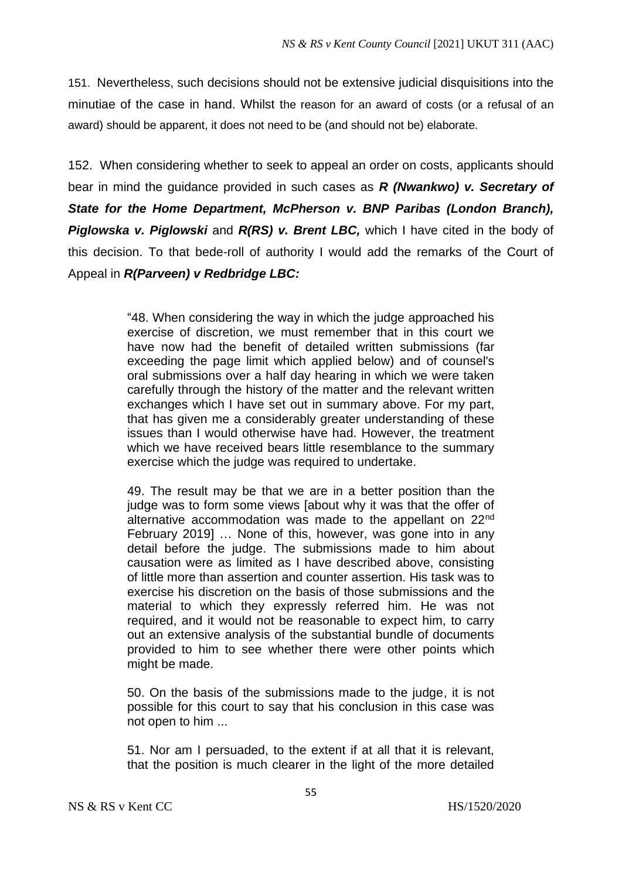151. Nevertheless, such decisions should not be extensive judicial disquisitions into the minutiae of the case in hand. Whilst the reason for an award of costs (or a refusal of an award) should be apparent, it does not need to be (and should not be) elaborate.

152. When considering whether to seek to appeal an order on costs, applicants should bear in mind the guidance provided in such cases as *R (Nwankwo) v. Secretary of State for the Home Department, McPherson v. BNP Paribas (London Branch), Piglowska v. Piglowski* and *R(RS) v. Brent LBC,* which I have cited in the body of this decision. To that bede-roll of authority I would add the remarks of the Court of Appeal in *R(Parveen) v Redbridge LBC:* 

> "48. When considering the way in which the judge approached his exercise of discretion, we must remember that in this court we have now had the benefit of detailed written submissions (far exceeding the page limit which applied below) and of counsel's oral submissions over a half day hearing in which we were taken carefully through the history of the matter and the relevant written exchanges which I have set out in summary above. For my part, that has given me a considerably greater understanding of these issues than I would otherwise have had. However, the treatment which we have received bears little resemblance to the summary exercise which the judge was required to undertake.

> 49. The result may be that we are in a better position than the judge was to form some views [about why it was that the offer of alternative accommodation was made to the appellant on 22nd February 2019] … None of this, however, was gone into in any detail before the judge. The submissions made to him about causation were as limited as I have described above, consisting of little more than assertion and counter assertion. His task was to exercise his discretion on the basis of those submissions and the material to which they expressly referred him. He was not required, and it would not be reasonable to expect him, to carry out an extensive analysis of the substantial bundle of documents provided to him to see whether there were other points which might be made.

> 50. On the basis of the submissions made to the judge, it is not possible for this court to say that his conclusion in this case was not open to him ...

> 51. Nor am I persuaded, to the extent if at all that it is relevant, that the position is much clearer in the light of the more detailed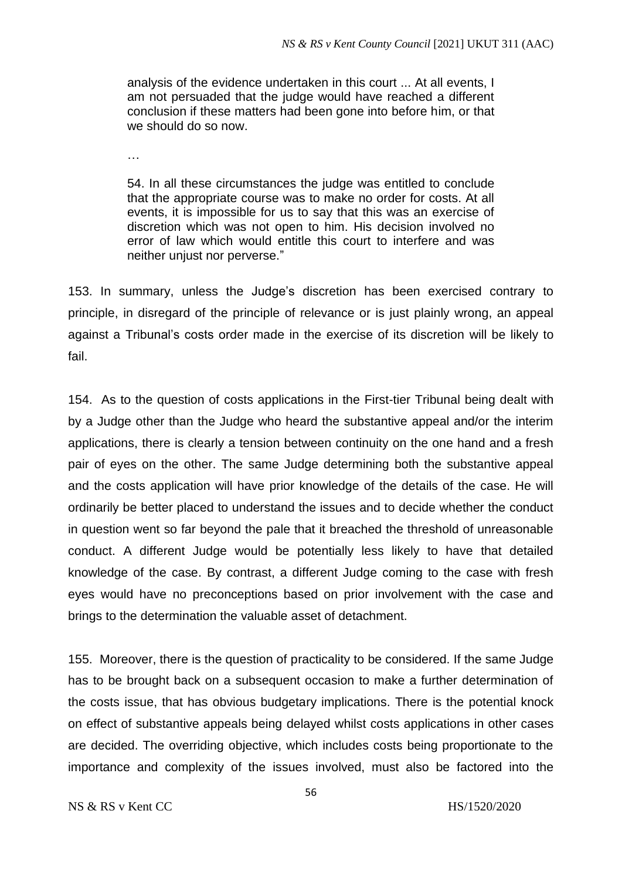analysis of the evidence undertaken in this court ... At all events, I am not persuaded that the judge would have reached a different conclusion if these matters had been gone into before him, or that we should do so now.

…

54. In all these circumstances the judge was entitled to conclude that the appropriate course was to make no order for costs. At all events, it is impossible for us to say that this was an exercise of discretion which was not open to him. His decision involved no error of law which would entitle this court to interfere and was neither unjust nor perverse."

153. In summary, unless the Judge's discretion has been exercised contrary to principle, in disregard of the principle of relevance or is just plainly wrong, an appeal against a Tribunal's costs order made in the exercise of its discretion will be likely to fail.

154. As to the question of costs applications in the First-tier Tribunal being dealt with by a Judge other than the Judge who heard the substantive appeal and/or the interim applications, there is clearly a tension between continuity on the one hand and a fresh pair of eyes on the other. The same Judge determining both the substantive appeal and the costs application will have prior knowledge of the details of the case. He will ordinarily be better placed to understand the issues and to decide whether the conduct in question went so far beyond the pale that it breached the threshold of unreasonable conduct. A different Judge would be potentially less likely to have that detailed knowledge of the case. By contrast, a different Judge coming to the case with fresh eyes would have no preconceptions based on prior involvement with the case and brings to the determination the valuable asset of detachment.

155. Moreover, there is the question of practicality to be considered. If the same Judge has to be brought back on a subsequent occasion to make a further determination of the costs issue, that has obvious budgetary implications. There is the potential knock on effect of substantive appeals being delayed whilst costs applications in other cases are decided. The overriding objective, which includes costs being proportionate to the importance and complexity of the issues involved, must also be factored into the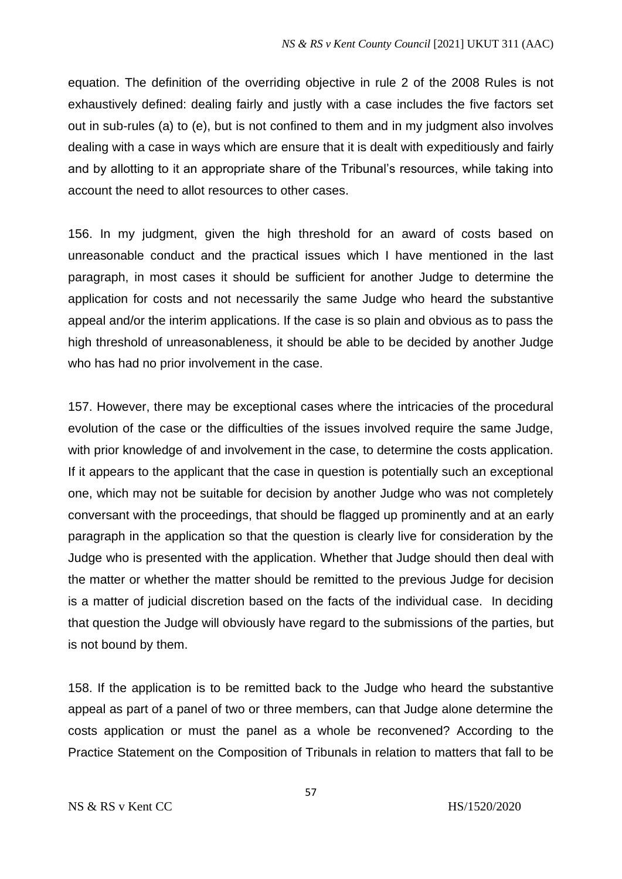equation. The definition of the overriding objective in rule 2 of the 2008 Rules is not exhaustively defined: dealing fairly and justly with a case includes the five factors set out in sub-rules (a) to (e), but is not confined to them and in my judgment also involves dealing with a case in ways which are ensure that it is dealt with expeditiously and fairly and by allotting to it an appropriate share of the Tribunal's resources, while taking into account the need to allot resources to other cases.

156. In my judgment, given the high threshold for an award of costs based on unreasonable conduct and the practical issues which I have mentioned in the last paragraph, in most cases it should be sufficient for another Judge to determine the application for costs and not necessarily the same Judge who heard the substantive appeal and/or the interim applications. If the case is so plain and obvious as to pass the high threshold of unreasonableness, it should be able to be decided by another Judge who has had no prior involvement in the case.

157. However, there may be exceptional cases where the intricacies of the procedural evolution of the case or the difficulties of the issues involved require the same Judge, with prior knowledge of and involvement in the case, to determine the costs application. If it appears to the applicant that the case in question is potentially such an exceptional one, which may not be suitable for decision by another Judge who was not completely conversant with the proceedings, that should be flagged up prominently and at an early paragraph in the application so that the question is clearly live for consideration by the Judge who is presented with the application. Whether that Judge should then deal with the matter or whether the matter should be remitted to the previous Judge for decision is a matter of judicial discretion based on the facts of the individual case. In deciding that question the Judge will obviously have regard to the submissions of the parties, but is not bound by them.

158. If the application is to be remitted back to the Judge who heard the substantive appeal as part of a panel of two or three members, can that Judge alone determine the costs application or must the panel as a whole be reconvened? According to the Practice Statement on the Composition of Tribunals in relation to matters that fall to be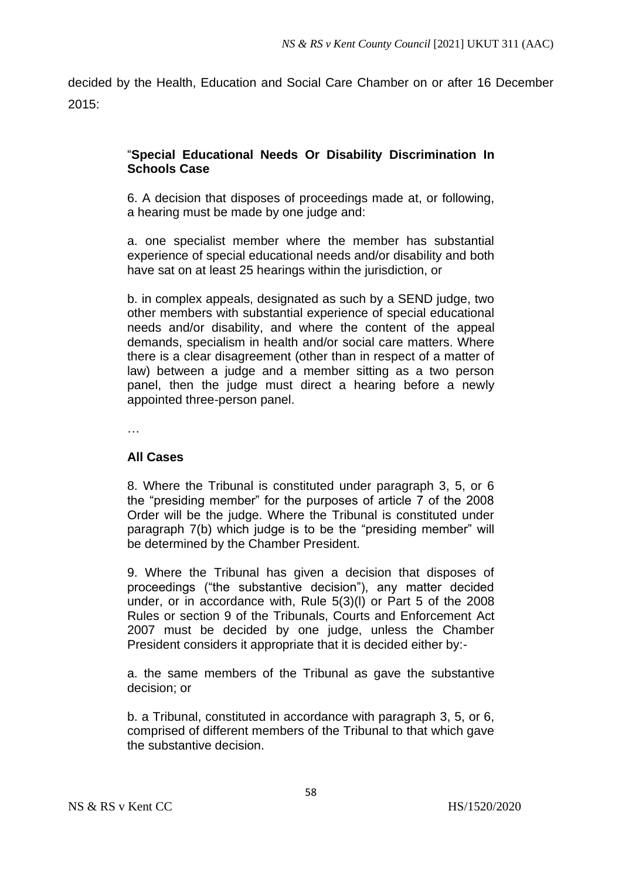decided by the Health, Education and Social Care Chamber on or after 16 December 2015:

# "**Special Educational Needs Or Disability Discrimination In Schools Case**

6. A decision that disposes of proceedings made at, or following, a hearing must be made by one judge and:

a. one specialist member where the member has substantial experience of special educational needs and/or disability and both have sat on at least 25 hearings within the jurisdiction, or

b. in complex appeals, designated as such by a SEND judge, two other members with substantial experience of special educational needs and/or disability, and where the content of the appeal demands, specialism in health and/or social care matters. Where there is a clear disagreement (other than in respect of a matter of law) between a judge and a member sitting as a two person panel, then the judge must direct a hearing before a newly appointed three-person panel.

…

### **All Cases**

8. Where the Tribunal is constituted under paragraph 3, 5, or 6 the "presiding member" for the purposes of article 7 of the 2008 Order will be the judge. Where the Tribunal is constituted under paragraph 7(b) which judge is to be the "presiding member" will be determined by the Chamber President.

9. Where the Tribunal has given a decision that disposes of proceedings ("the substantive decision"), any matter decided under, or in accordance with, Rule 5(3)(l) or Part 5 of the 2008 Rules or section 9 of the Tribunals, Courts and Enforcement Act 2007 must be decided by one judge, unless the Chamber President considers it appropriate that it is decided either by:-

a. the same members of the Tribunal as gave the substantive decision; or

b. a Tribunal, constituted in accordance with paragraph 3, 5, or 6, comprised of different members of the Tribunal to that which gave the substantive decision.